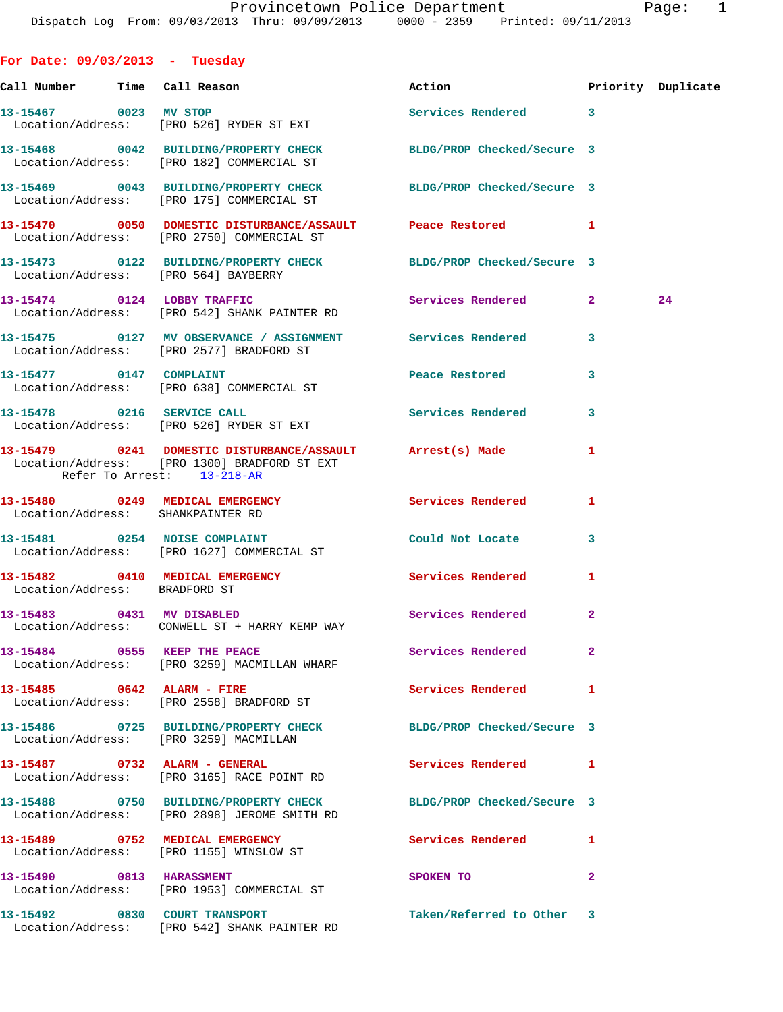| For Date: $09/03/2013$ - Tuesday |                                                                                                                                         |                            |                    |    |
|----------------------------------|-----------------------------------------------------------------------------------------------------------------------------------------|----------------------------|--------------------|----|
| Call Number Time Call Reason     |                                                                                                                                         | Action                     | Priority Duplicate |    |
|                                  | 13-15467 0023 MV STOP<br>Location/Address: [PRO 526] RYDER ST EXT                                                                       | Services Rendered 3        |                    |    |
|                                  | 13-15468 0042 BUILDING/PROPERTY CHECK BLDG/PROP Checked/Secure 3<br>Location/Address: [PRO 182] COMMERCIAL ST                           |                            |                    |    |
|                                  | 13-15469 0043 BUILDING/PROPERTY CHECK<br>Location/Address: [PRO 175] COMMERCIAL ST                                                      | BLDG/PROP Checked/Secure 3 |                    |    |
|                                  | 13-15470 0050 DOMESTIC DISTURBANCE/ASSAULT Peace Restored<br>Location/Address: [PRO 2750] COMMERCIAL ST                                 |                            | 1                  |    |
|                                  | 13-15473 0122 BUILDING/PROPERTY CHECK BLDG/PROP Checked/Secure 3<br>Location/Address: [PRO 564] BAYBERRY                                |                            |                    |    |
|                                  | 13-15474 0124 LOBBY TRAFFIC<br>Location/Address: [PRO 542] SHANK PAINTER RD                                                             | Services Rendered          | $\mathbf{2}$       | 24 |
|                                  | 13-15475 0127 MV OBSERVANCE / ASSIGNMENT Services Rendered<br>Location/Address: [PRO 2577] BRADFORD ST                                  |                            | 3                  |    |
|                                  | 13-15477 0147 COMPLAINT<br>Location/Address: [PRO 638] COMMERCIAL ST                                                                    | Peace Restored             | 3                  |    |
| 13-15478 0216 SERVICE CALL       | Location/Address: [PRO 526] RYDER ST EXT                                                                                                | <b>Services Rendered</b>   | 3                  |    |
|                                  | 13-15479 0241 DOMESTIC DISTURBANCE/ASSAULT Arrest(s) Made<br>Location/Address: [PRO 1300] BRADFORD ST EXT<br>Refer To Arrest: 13-218-AR |                            | 1                  |    |
|                                  | 13-15480 0249 MEDICAL EMERGENCY<br>Location/Address: SHANKPAINTER RD                                                                    | Services Rendered          | 1                  |    |
|                                  | 13-15481 0254 NOISE COMPLAINT<br>Location/Address: [PRO 1627] COMMERCIAL ST                                                             | Could Not Locate           | 3                  |    |
| Location/Address: BRADFORD ST    | 13-15482 0410 MEDICAL EMERGENCY                                                                                                         | Services Rendered          | 1                  |    |
|                                  | 13-15483 0431 MV DISABLED<br>Location/Address: CONWELL ST + HARRY KEMP WAY                                                              | Services Rendered          | $\overline{a}$     |    |
|                                  | 13-15484 0555 KEEP THE PEACE<br>Location/Address: [PRO 3259] MACMILLAN WHARF                                                            | Services Rendered          | $\mathbf{2}$       |    |
|                                  | 13-15485 0642 ALARM - FIRE<br>Location/Address: [PRO 2558] BRADFORD ST                                                                  | <b>Services Rendered</b>   | 1                  |    |
|                                  | 13-15486 0725 BUILDING/PROPERTY CHECK BLDG/PROP Checked/Secure 3<br>Location/Address: [PRO 3259] MACMILLAN                              |                            |                    |    |
|                                  | 13-15487 0732 ALARM - GENERAL<br>Location/Address: [PRO 3165] RACE POINT RD                                                             | Services Rendered          | 1                  |    |
|                                  | 13-15488 0750 BUILDING/PROPERTY CHECK BLDG/PROP Checked/Secure 3<br>Location/Address: [PRO 2898] JEROME SMITH RD                        |                            |                    |    |
|                                  | 13-15489 0752 MEDICAL EMERGENCY<br>Location/Address: [PRO 1155] WINSLOW ST                                                              | Services Rendered          | 1                  |    |
| 13-15490 0813 HARASSMENT         | Location/Address: [PRO 1953] COMMERCIAL ST                                                                                              | SPOKEN TO                  | 2                  |    |
|                                  | 13-15492 0830 COURT TRANSPORT<br>Location/Address: [PRO 542] SHANK PAINTER RD                                                           | Taken/Referred to Other 3  |                    |    |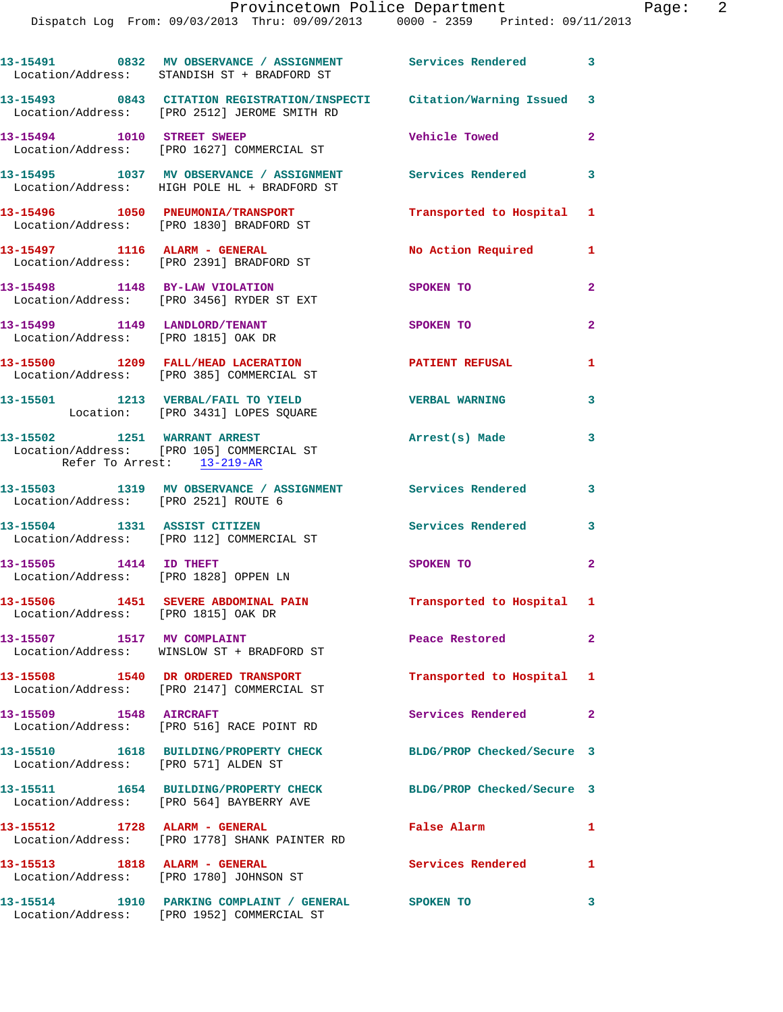|                                                                      | 13-15491 0832 MV OBSERVANCE / ASSIGNMENT Services Rendered 3<br>Location/Address: STANDISH ST + BRADFORD ST            |                            |                         |
|----------------------------------------------------------------------|------------------------------------------------------------------------------------------------------------------------|----------------------------|-------------------------|
|                                                                      | 13-15493 0843 CITATION REGISTRATION/INSPECTI Citation/Warning Issued 3<br>Location/Address: [PRO 2512] JEROME SMITH RD |                            |                         |
| 13-15494 1010 STREET SWEEP                                           | Location/Address: [PRO 1627] COMMERCIAL ST                                                                             | Vehicle Towed              | $\mathbf{2}$            |
|                                                                      | 13-15495 1037 MV OBSERVANCE / ASSIGNMENT Services Rendered 3<br>Location/Address: HIGH POLE HL + BRADFORD ST           |                            |                         |
|                                                                      | 13-15496 1050 PNEUMONIA/TRANSPORT<br>Location/Address: [PRO 1830] BRADFORD ST                                          | Transported to Hospital 1  |                         |
|                                                                      | 13-15497 1116 ALARM - GENERAL<br>Location/Address: [PRO 2391] BRADFORD ST                                              | No Action Required 1       |                         |
| 13-15498 1148 BY-LAW VIOLATION                                       | Location/Address: [PRO 3456] RYDER ST EXT                                                                              | SPOKEN TO                  | $\mathbf{2}$            |
| 13-15499 1149 LANDLORD/TENANT<br>Location/Address: [PRO 1815] OAK DR |                                                                                                                        | SPOKEN TO                  | $\overline{2}$          |
|                                                                      | 13-15500 1209 FALL/HEAD LACERATION<br>Location/Address: [PRO 385] COMMERCIAL ST                                        | <b>PATIENT REFUSAL</b>     | $\mathbf{1}$            |
|                                                                      | 13-15501 1213 VERBAL/FAIL TO YIELD<br>Location: [PRO 3431] LOPES SQUARE                                                | <b>VERBAL WARNING</b>      | 3                       |
| Refer To Arrest: 13-219-AR                                           | 13-15502 1251 WARRANT ARREST<br>Location/Address: [PRO 105] COMMERCIAL ST                                              | Arrest(s) Made             | 3                       |
| Location/Address: [PRO 2521] ROUTE 6                                 | 13-15503 1319 MV OBSERVANCE / ASSIGNMENT Services Rendered                                                             |                            | $\mathbf{3}$            |
|                                                                      | 13-15504 1331 ASSIST CITIZEN<br>Location/Address: [PRO 112] COMMERCIAL ST                                              | Services Rendered          | $\overline{\mathbf{3}}$ |
| 13-15505 1414 ID THEFT                                               | Location/Address: [PRO 1828] OPPEN LN                                                                                  | SPOKEN TO                  | $\overline{2}$          |
| Location/Address: [PRO 1815] OAK DR                                  | 13-15506 1451 SEVERE ABDOMINAL PAIN                                                                                    | Transported to Hospital 1  |                         |
| 13-15507 1517 MV COMPLAINT                                           | Location/Address: WINSLOW ST + BRADFORD ST                                                                             | Peace Restored             | $\mathbf{2}$            |
|                                                                      | 13-15508 1540 DR ORDERED TRANSPORT<br>Location/Address: [PRO 2147] COMMERCIAL ST                                       | Transported to Hospital 1  |                         |
| 13-15509 1548 AIRCRAFT                                               | Location/Address: [PRO 516] RACE POINT RD                                                                              | Services Rendered 2        |                         |
| Location/Address: [PRO 571] ALDEN ST                                 | 13-15510 1618 BUILDING/PROPERTY CHECK                                                                                  | BLDG/PROP Checked/Secure 3 |                         |
|                                                                      | 13-15511 1654 BUILDING/PROPERTY CHECK BLDG/PROP Checked/Secure 3<br>Location/Address: [PRO 564] BAYBERRY AVE           |                            |                         |
|                                                                      | 13-15512 1728 ALARM - GENERAL<br>Location/Address: [PRO 1778] SHANK PAINTER RD                                         | False Alarm                | 1                       |
| 13-15513 1818 ALARM - GENERAL                                        | Location/Address: [PRO 1780] JOHNSON ST                                                                                | Services Rendered 1        |                         |
|                                                                      | 13-15514 1910 PARKING COMPLAINT / GENERAL SPOKEN TO                                                                    |                            | 3                       |

Location/Address: [PRO 1952] COMMERCIAL ST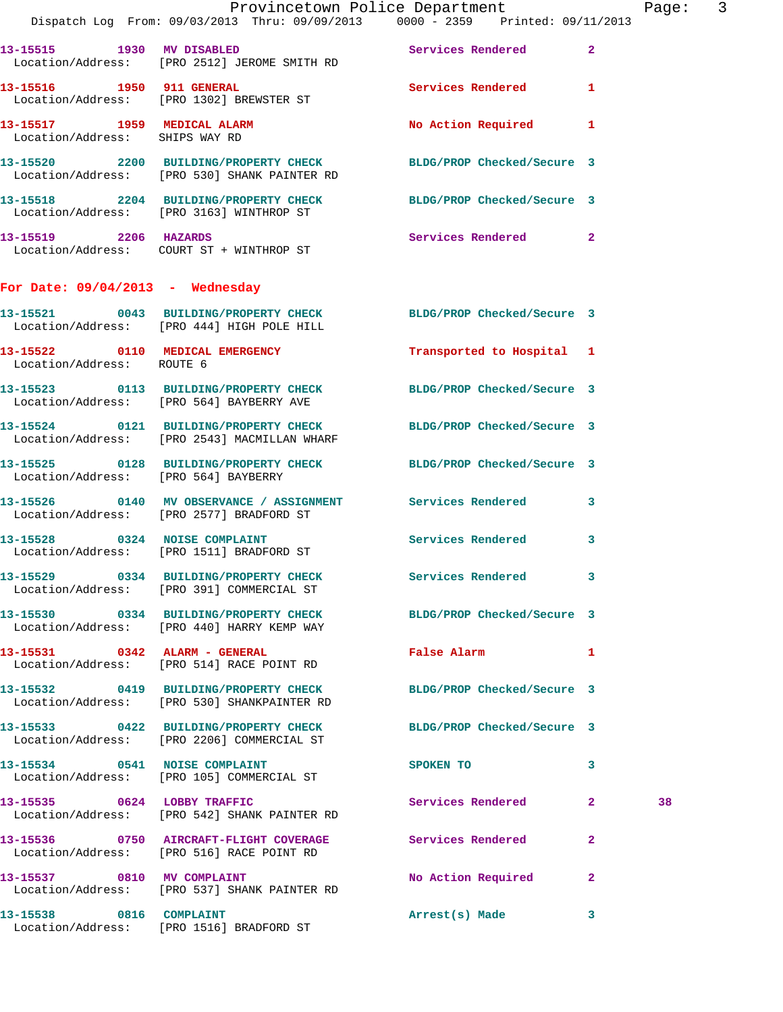|                                                               | Provincetown Police Department<br>Dispatch Log From: 09/03/2013 Thru: 09/09/2013 0000 - 2359 Printed: 09/11/2013 |                             |              | Page: 3 |  |
|---------------------------------------------------------------|------------------------------------------------------------------------------------------------------------------|-----------------------------|--------------|---------|--|
|                                                               | 13-15515 1930 MV DISABLED<br>Location/Address: [PRO 2512] JEROME SMITH RD                                        | Services Rendered 2         |              |         |  |
|                                                               | 13-15516 1950 911 GENERAL Services Rendered 1<br>Location/Address: [PRO 1302] BREWSTER ST                        |                             |              |         |  |
| 13-15517 1959 MEDICAL ALARM<br>Location/Address: SHIPS WAY RD |                                                                                                                  | No Action Required 1        |              |         |  |
|                                                               | 13-15520 2200 BUILDING/PROPERTY CHECK BLDG/PROP Checked/Secure 3<br>Location/Address: [PRO 530] SHANK PAINTER RD |                             |              |         |  |
|                                                               | 13-15518 2204 BUILDING/PROPERTY CHECK BLDG/PROP Checked/Secure 3<br>Location/Address: [PRO 3163] WINTHROP ST     |                             |              |         |  |
|                                                               | 13-15519 2206 HAZARDS<br>Location/Address: COURT ST + WINTHROP ST                                                | Services Rendered 2         |              |         |  |
| For Date: $09/04/2013$ - Wednesday                            |                                                                                                                  |                             |              |         |  |
|                                                               | 13-15521 0043 BUILDING/PROPERTY CHECK BLDG/PROP Checked/Secure 3<br>Location/Address: [PRO 444] HIGH POLE HILL   |                             |              |         |  |
| Location/Address: ROUTE 6                                     | 13-15522 0110 MEDICAL EMERGENCY                                                                                  | Transported to Hospital 1   |              |         |  |
|                                                               | 13-15523 0113 BUILDING/PROPERTY CHECK BLDG/PROP Checked/Secure 3<br>Location/Address: [PRO 564] BAYBERRY AVE     |                             |              |         |  |
|                                                               | 13-15524 0121 BUILDING/PROPERTY CHECK BLDG/PROP Checked/Secure 3<br>Location/Address: [PRO 2543] MACMILLAN WHARF |                             |              |         |  |
| Location/Address: [PRO 564] BAYBERRY                          | 13-15525 0128 BUILDING/PROPERTY CHECK BLDG/PROP Checked/Secure 3                                                 |                             |              |         |  |
|                                                               | 13-15526 0140 MV OBSERVANCE / ASSIGNMENT Services Rendered 3<br>Location/Address: [PRO 2577] BRADFORD ST         |                             |              |         |  |
|                                                               | 13-15528 0324 NOISE COMPLAINT<br>Location/Address: [PRO 1511] BRADFORD ST                                        | Services Rendered 3         |              |         |  |
|                                                               | 13-15529 0334 BUILDING/PROPERTY CHECK<br>Location/Address: [PRO 391] COMMERCIAL ST                               | Services Rendered 3         |              |         |  |
|                                                               | 13-15530 0334 BUILDING/PROPERTY CHECK BLDG/PROP Checked/Secure 3<br>Location/Address: [PRO 440] HARRY KEMP WAY   |                             |              |         |  |
|                                                               | 13-15531 0342 ALARM - GENERAL<br>Location/Address: [PRO 514] RACE POINT RD                                       | False Alarm 1               |              |         |  |
|                                                               | 13-15532 0419 BUILDING/PROPERTY CHECK BLDG/PROP Checked/Secure 3<br>Location/Address: [PRO 530] SHANKPAINTER RD  |                             |              |         |  |
|                                                               | 13-15533 0422 BUILDING/PROPERTY CHECK BLDG/PROP Checked/Secure 3<br>Location/Address: [PRO 2206] COMMERCIAL ST   |                             |              |         |  |
|                                                               | 13-15534 0541 NOISE COMPLAINT<br>Location/Address: [PRO 105] COMMERCIAL ST                                       | SPOKEN TO NAME OF SPOKEN TO | $\mathbf{3}$ |         |  |
| 13-15535 0624 LOBBY TRAFFIC                                   | Location/Address: [PRO 542] SHANK PAINTER RD                                                                     | Services Rendered 2         |              | 38      |  |
|                                                               | 13-15536 0750 AIRCRAFT-FLIGHT COVERAGE Services Rendered<br>Location/Address: [PRO 516] RACE POINT RD            |                             | $\mathbf{2}$ |         |  |
| 13-15537 0810 MV COMPLAINT                                    | Location/Address: [PRO 537] SHANK PAINTER RD                                                                     | No Action Required 2        |              |         |  |
|                                                               | 13-15538 0816 COMPLAINT<br>Location/Address: [PRO 1516] BRADFORD ST                                              | Arrest(s) Made              | 3            |         |  |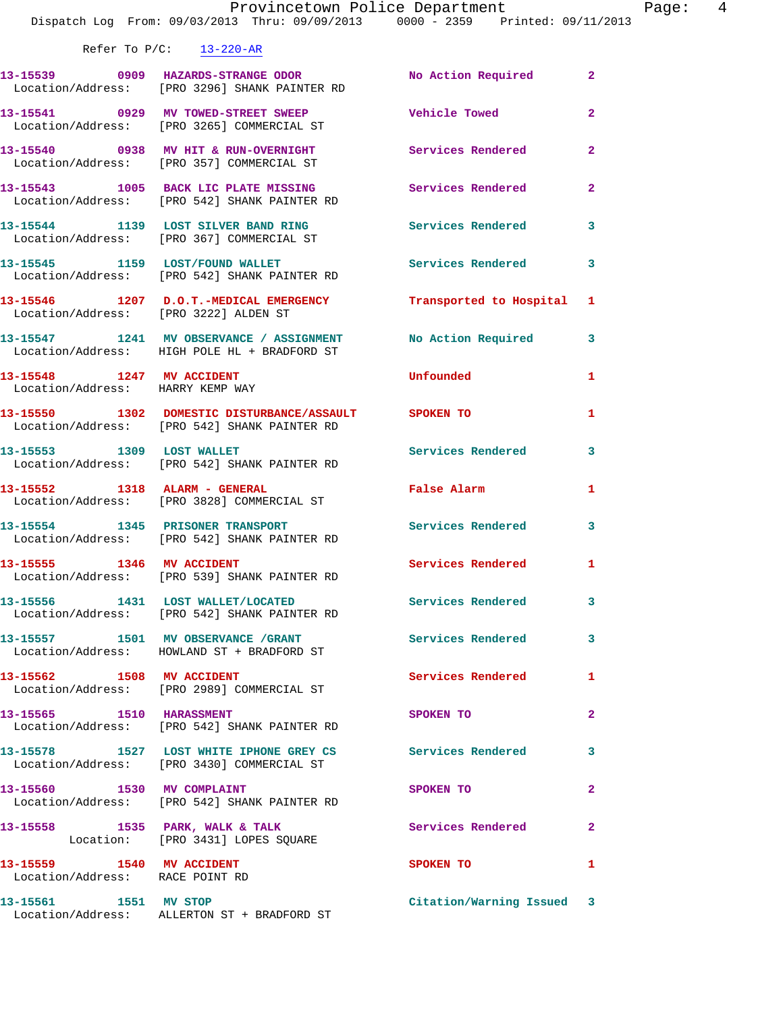| Refer To $P/C$ : | $13 - 220 - AR$ |
|------------------|-----------------|
|                  |                 |

| VETET IO RIC.                                                 | $13 - 220 - AR$                                                                                         |                            |                         |
|---------------------------------------------------------------|---------------------------------------------------------------------------------------------------------|----------------------------|-------------------------|
|                                                               | 13-15539 0909 HAZARDS-STRANGE ODOR No Action Required<br>Location/Address: [PRO 3296] SHANK PAINTER RD  |                            | $\mathbf{2}$            |
|                                                               | 13-15541 0929 MV TOWED-STREET SWEEP<br>Location/Address: [PRO 3265] COMMERCIAL ST                       | <b>Vehicle Towed</b>       | $\overline{a}$          |
|                                                               | 13-15540 0938 MV HIT & RUN-OVERNIGHT<br>Location/Address: [PRO 357] COMMERCIAL ST                       | Services Rendered          | $\mathbf{2}$            |
|                                                               | 13-15543 1005 BACK LIC PLATE MISSING<br>Location/Address: [PRO 542] SHANK PAINTER RD                    | <b>Services Rendered</b>   | $\mathbf{2}$            |
|                                                               | 13-15544 1139 LOST SILVER BAND RING<br>Location/Address: [PRO 367] COMMERCIAL ST                        | <b>Services Rendered</b>   | 3                       |
|                                                               | 13-15545 1159 LOST/FOUND WALLET<br>Location/Address: [PRO 542] SHANK PAINTER RD                         | <b>Services Rendered</b>   | 3                       |
| Location/Address: [PRO 3222] ALDEN ST                         | 13-15546 1207 D.O.T.-MEDICAL EMERGENCY Transported to Hospital                                          |                            | 1                       |
|                                                               | 13-15547 1241 MV OBSERVANCE / ASSIGNMENT<br>Location/Address: HIGH POLE HL + BRADFORD ST                | No Action Required         | $\overline{\mathbf{3}}$ |
| 13-15548 1247 MV ACCIDENT<br>Location/Address: HARRY KEMP WAY |                                                                                                         | Unfounded                  | 1                       |
|                                                               | 13-15550 1302 DOMESTIC DISTURBANCE/ASSAULT SPOKEN TO<br>Location/Address: [PRO 542] SHANK PAINTER RD    |                            | 1                       |
|                                                               | 13-15553 1309 LOST WALLET<br>Location/Address: [PRO 542] SHANK PAINTER RD                               | <b>Services Rendered</b>   | 3                       |
| 13-15552 1318 ALARM - GENERAL                                 | Location/Address: [PRO 3828] COMMERCIAL ST                                                              | False Alarm <b>Execute</b> | 1                       |
|                                                               | 13-15554 1345 PRISONER TRANSPORT<br>Location/Address: [PRO 542] SHANK PAINTER RD                        | <b>Services Rendered</b>   | 3                       |
| 13-15555 1346 MV ACCIDENT                                     | Location/Address: [PRO 539] SHANK PAINTER RD                                                            | <b>Services Rendered</b>   | 1                       |
|                                                               | 13-15556 1431 LOST WALLET/LOCATED<br>Location/Address: [PRO 542] SHANK PAINTER RD                       | <b>Services Rendered</b>   | 3                       |
|                                                               | 13-15557 1501 MV OBSERVANCE / GRANT<br>Location/Address: HOWLAND ST + BRADFORD ST                       | <b>Services Rendered</b>   | 3                       |
|                                                               | 13-15562 1508 MV ACCIDENT<br>Location/Address: [PRO 2989] COMMERCIAL ST                                 | Services Rendered          | 1                       |
| 13-15565 1510 HARASSMENT                                      | Location/Address: [PRO 542] SHANK PAINTER RD                                                            | SPOKEN TO                  | $\mathbf{2}$            |
|                                                               | 13-15578 1527 LOST WHITE IPHONE GREY CS Services Rendered<br>Location/Address: [PRO 3430] COMMERCIAL ST |                            | 3                       |
| 13-15560 1530 MV COMPLAINT                                    | Location/Address: [PRO 542] SHANK PAINTER RD                                                            | SPOKEN TO                  | $\mathbf{2}$            |
|                                                               | 13-15558 1535 PARK, WALK & TALK<br>Location: [PRO 3431] LOPES SQUARE                                    | <b>Services Rendered</b>   | $\mathbf{2}$            |
| 13-15559 1540 MV ACCIDENT<br>Location/Address: RACE POINT RD  |                                                                                                         | SPOKEN TO                  | 1                       |
| 13-15561 1551 MV STOP                                         | Location/Address: ALLERTON ST + BRADFORD ST                                                             | Citation/Warning Issued 3  |                         |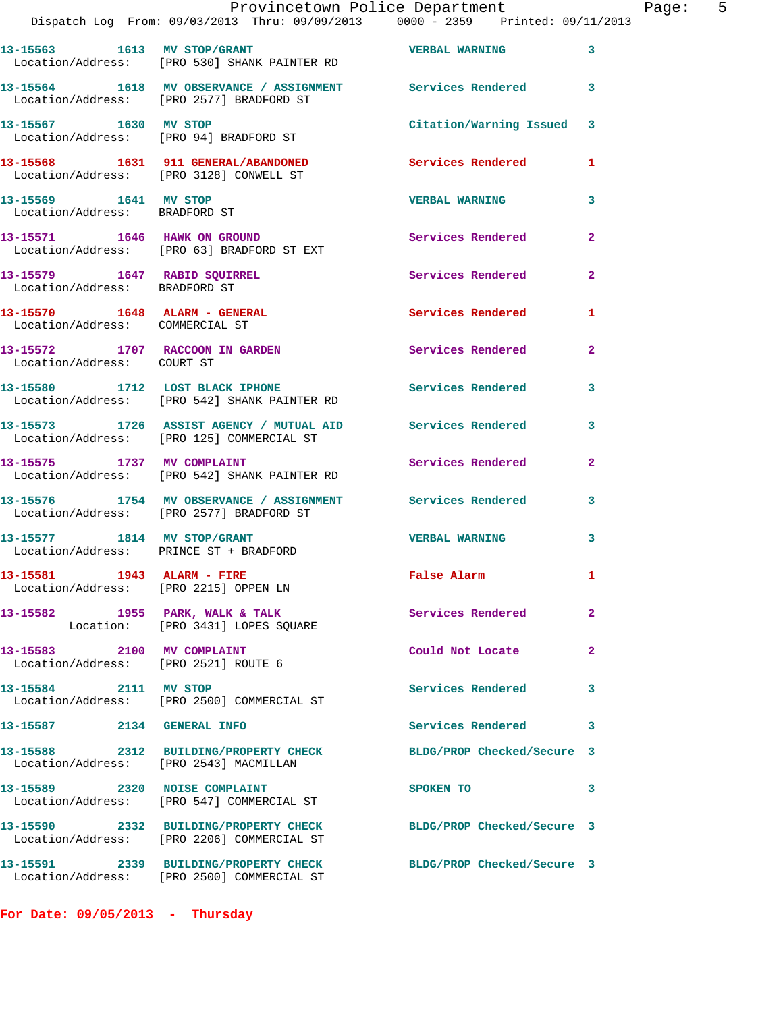|                                                                     | Provincetown Police Department<br>Dispatch Log From: 09/03/2013 Thru: 09/09/2013 0000 - 2359 Printed: 09/11/2013 |                            |                |
|---------------------------------------------------------------------|------------------------------------------------------------------------------------------------------------------|----------------------------|----------------|
|                                                                     | 13-15563 1613 MV STOP/GRANT 160 VERBAL WARNING<br>Location/Address: [PRO 530] SHANK PAINTER RD                   |                            | 3              |
|                                                                     | 13-15564 1618 MV OBSERVANCE / ASSIGNMENT Services Rendered<br>Location/Address: [PRO 2577] BRADFORD ST           |                            | 3              |
| 13-15567 1630 MV STOP                                               | Location/Address: [PRO 94] BRADFORD ST                                                                           | Citation/Warning Issued    | 3              |
|                                                                     | 13-15568 1631 911 GENERAL/ABANDONED Services Rendered<br>Location/Address: [PRO 3128] CONWELL ST                 |                            | 1              |
| 13-15569 1641 MV STOP<br>Location/Address: BRADFORD ST              |                                                                                                                  | <b>VERBAL WARNING</b>      | 3              |
|                                                                     | 13-15571 1646 HAWK ON GROUND<br>Location/Address: [PRO 63] BRADFORD ST EXT                                       | <b>Services Rendered</b>   | $\mathbf{2}$   |
| 13-15579 1647 RABID SQUIRREL<br>Location/Address: BRADFORD ST       |                                                                                                                  | Services Rendered          | $\overline{2}$ |
| 13-15570 1648 ALARM - GENERAL<br>Location/Address: COMMERCIAL ST    |                                                                                                                  | <b>Services Rendered</b>   | 1              |
| 13-15572 1707 RACCOON IN GARDEN<br>Location/Address: COURT ST       |                                                                                                                  | <b>Services Rendered</b>   | $\mathbf{2}$   |
|                                                                     | 13-15580 1712 LOST BLACK IPHONE<br>Location/Address: [PRO 542] SHANK PAINTER RD                                  | <b>Services Rendered</b>   | 3              |
|                                                                     | 13-15573 1726 ASSIST AGENCY / MUTUAL AID Services Rendered<br>Location/Address: [PRO 125] COMMERCIAL ST          |                            | 3              |
|                                                                     | 13-15575 1737 MV COMPLAINT<br>Location/Address: [PRO 542] SHANK PAINTER RD                                       | Services Rendered          | $\mathbf{2}$   |
|                                                                     | 13-15576 1754 MV OBSERVANCE / ASSIGNMENT Services Rendered<br>Location/Address: [PRO 2577] BRADFORD ST           |                            | 3              |
| Location/Address: PRINCE ST + BRADFORD                              | 13-15577 1814 MV STOP/GRANT                                                                                      | <b>VERBAL WARNING</b>      | 3              |
| 13-15581 1943 ALARM - FIRE<br>Location/Address: [PRO 2215] OPPEN LN |                                                                                                                  | <b>False Alarm</b>         | 1              |
|                                                                     | 13-15582 1955 PARK, WALK & TALK<br>Location: [PRO 3431] LOPES SQUARE                                             | <b>Services Rendered</b>   | $\mathbf{2}$   |
| 13-15583 2100 MV COMPLAINT<br>Location/Address: [PRO 2521] ROUTE 6  |                                                                                                                  | Could Not Locate           | $\overline{2}$ |
| 13-15584 2111 MV STOP                                               | Location/Address: [PRO 2500] COMMERCIAL ST                                                                       | <b>Services Rendered</b>   | 3              |
| 13-15587 2134 GENERAL INFO                                          |                                                                                                                  | <b>Services Rendered</b>   | 3              |
| Location/Address: [PRO 2543] MACMILLAN                              | 13-15588 2312 BUILDING/PROPERTY CHECK                                                                            | BLDG/PROP Checked/Secure 3 |                |
|                                                                     | 13-15589 2320 NOISE COMPLAINT<br>Location/Address: [PRO 547] COMMERCIAL ST                                       | SPOKEN TO                  | 3              |
|                                                                     | 13-15590 2332 BUILDING/PROPERTY CHECK<br>Location/Address: [PRO 2206] COMMERCIAL ST                              | BLDG/PROP Checked/Secure 3 |                |
|                                                                     | 13-15591 2339 BUILDING/PROPERTY CHECK<br>Location/Address: [PRO 2500] COMMERCIAL ST                              | BLDG/PROP Checked/Secure 3 |                |

**For Date: 09/05/2013 - Thursday**

Page: 5<br>13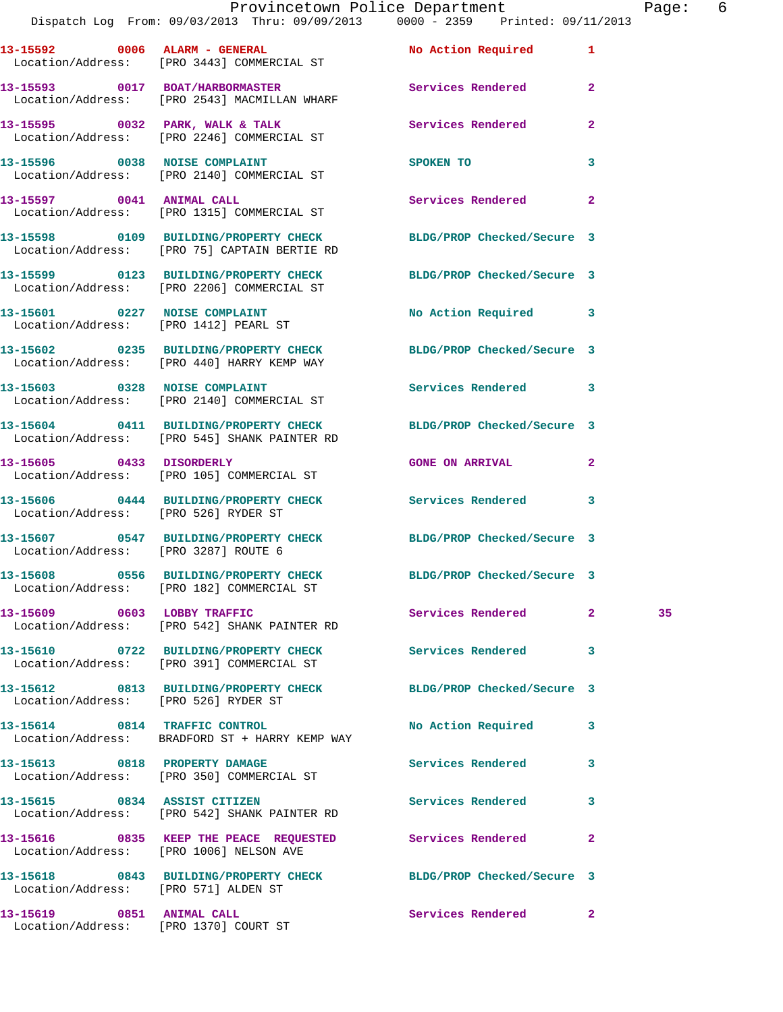|                                      |                                                                                                                  | Provincetown Police Department |                | Page: 6 |  |
|--------------------------------------|------------------------------------------------------------------------------------------------------------------|--------------------------------|----------------|---------|--|
|                                      | Dispatch Log From: 09/03/2013 Thru: 09/09/2013 0000 - 2359 Printed: 09/11/2013                                   |                                |                |         |  |
|                                      | 13-15592 0006 ALARM - GENERAL No Action Required 1<br>Location/Address: [PRO 3443] COMMERCIAL ST                 |                                |                |         |  |
|                                      | 13-15593 0017 BOAT/HARBORMASTER<br>Location/Address: [PRO 2543] MACMILLAN WHARF                                  | Services Rendered 2            |                |         |  |
|                                      | 13-15595 0032 PARK, WALK & TALK (Services Rendered Location/Address: [PRO 2246] COMMERCIAL ST                    |                                | $\mathbf{2}$   |         |  |
|                                      | 13-15596 0038 NOISE COMPLAINT<br>Location/Address: [PRO 2140] COMMERCIAL ST                                      | <b>SPOKEN TO</b>               | $\mathbf{3}$   |         |  |
|                                      | 13-15597 0041 ANIMAL CALL<br>Location/Address: [PRO 1315] COMMERCIAL ST                                          | Services Rendered 2            |                |         |  |
|                                      | 13-15598 0109 BUILDING/PROPERTY CHECK BLDG/PROP Checked/Secure 3<br>Location/Address: [PRO 75] CAPTAIN BERTIE RD |                                |                |         |  |
|                                      | 13-15599 0123 BUILDING/PROPERTY CHECK BLDG/PROP Checked/Secure 3<br>Location/Address: [PRO 2206] COMMERCIAL ST   |                                |                |         |  |
|                                      | 13-15601 0227 NOISE COMPLAINT<br>Location/Address: [PRO 1412] PEARL ST                                           | No Action Required 3           |                |         |  |
|                                      | 13-15602 0235 BUILDING/PROPERTY CHECK BLDG/PROP Checked/Secure 3<br>Location/Address: [PRO 440] HARRY KEMP WAY   |                                |                |         |  |
|                                      | 13-15603 0328 NOISE COMPLAINT Services Rendered 3<br>Location/Address: [PRO 2140] COMMERCIAL ST                  |                                |                |         |  |
|                                      | 13-15604 0411 BUILDING/PROPERTY CHECK BLDG/PROP Checked/Secure 3<br>Location/Address: [PRO 545] SHANK PAINTER RD |                                |                |         |  |
|                                      | 13-15605 0433 DISORDERLY<br>Location/Address: [PRO 105] COMMERCIAL ST                                            | <b>GONE ON ARRIVAL</b>         | $\mathbf{2}$   |         |  |
| Location/Address: [PRO 526] RYDER ST | 13-15606 0444 BUILDING/PROPERTY CHECK Services Rendered 3                                                        |                                |                |         |  |
| Location/Address: [PRO 3287] ROUTE 6 | 13-15607 0547 BUILDING/PROPERTY CHECK BLDG/PROP Checked/Secure 3                                                 |                                |                |         |  |
|                                      | 13-15608 0556 BUILDING/PROPERTY CHECK<br>Location/Address: [PRO 182] COMMERCIAL ST                               | BLDG/PROP Checked/Secure 3     |                |         |  |
| 13-15609 0603 LOBBY TRAFFIC          | Location/Address: [PRO 542] SHANK PAINTER RD                                                                     | Services Rendered              | $\mathbf{2}^-$ | 35      |  |
|                                      | 13-15610 0722 BUILDING/PROPERTY CHECK<br>Location/Address: [PRO 391] COMMERCIAL ST                               | <b>Services Rendered</b>       | 3              |         |  |
| Location/Address: [PRO 526] RYDER ST | 13-15612 0813 BUILDING/PROPERTY CHECK                                                                            | BLDG/PROP Checked/Secure 3     |                |         |  |
|                                      | 13-15614 0814 TRAFFIC CONTROL<br>Location/Address: BRADFORD ST + HARRY KEMP WAY                                  | No Action Required             | 3              |         |  |
| 13-15613 0818 PROPERTY DAMAGE        | Location/Address: [PRO 350] COMMERCIAL ST                                                                        | Services Rendered              | 3              |         |  |

**13-15615 0834 ASSIST CITIZEN Services Rendered 3**  Location/Address: [PRO 542] SHANK PAINTER RD

Location/Address: [PRO 1006] NELSON AVE

Location/Address: [PRO 571] ALDEN ST

Location/Address: [PRO 1370] COURT ST

**13-15619 0851 ANIMAL CALL Services Rendered 2** 

**13-15616 0835 KEEP THE PEACE REQUESTED Services Rendered 2** 

**13-15618 0843 BUILDING/PROPERTY CHECK BLDG/PROP Checked/Secure 3**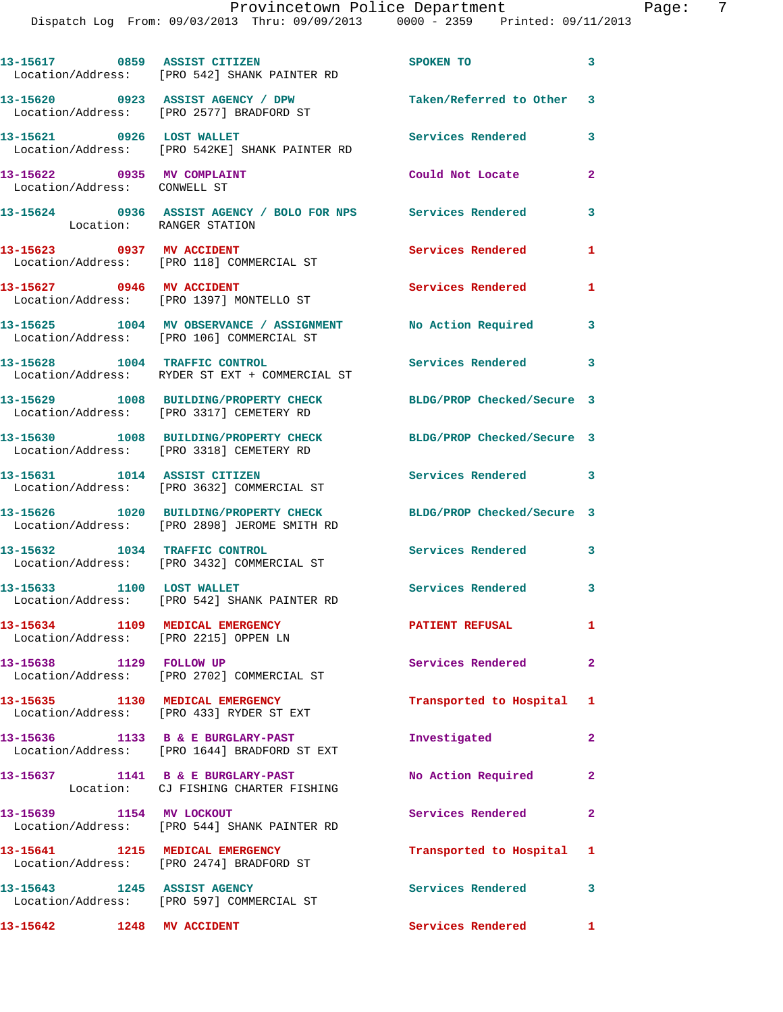Dispatch Log From: 09/03/2013 Thru: 09/09/2013 0000 - 2359 Printed: 09/11/2013

13-15617 0859 ASSIST CITIZEN SPOKEN TO 3 Location/Address: [PRO 542] SHANK PAINTER RD **13-15620 0923 ASSIST AGENCY / DPW Taken/Referred to Other 3**  Location/Address: [PRO 2577] BRADFORD ST **13-15621 0926 LOST WALLET Services Rendered 3**  Location/Address: [PRO 542KE] SHANK PAINTER RD **13-15622 0935 MV COMPLAINT Could Not Locate 2**  Location/Address: CONWELL ST **13-15624 0936 ASSIST AGENCY / BOLO FOR NPS Services Rendered 3**  Location: RANGER STATION 13-15623 0937 MV ACCIDENT Services Rendered 1 Location/Address: [PRO 118] COMMERCIAL ST **13-15627 0946 MV ACCIDENT Services Rendered 1**  Location/Address: [PRO 1397] MONTELLO ST **13-15625 1004 MV OBSERVANCE / ASSIGNMENT No Action Required 3**  Location/Address: [PRO 106] COMMERCIAL ST **13-15628 1004 TRAFFIC CONTROL Services Rendered 3**  Location/Address: RYDER ST EXT + COMMERCIAL ST **13-15629 1008 BUILDING/PROPERTY CHECK BLDG/PROP Checked/Secure 3**  Location/Address: [PRO 3317] CEMETERY RD **13-15630 1008 BUILDING/PROPERTY CHECK BLDG/PROP Checked/Secure 3**  Location/Address: [PRO 3318] CEMETERY RD **13-15631 1014 ASSIST CITIZEN Services Rendered 3**  Location/Address: [PRO 3632] COMMERCIAL ST **13-15626 1020 BUILDING/PROPERTY CHECK BLDG/PROP Checked/Secure 3**  Location/Address: [PRO 2898] JEROME SMITH RD **13-15632 1034 TRAFFIC CONTROL Services Rendered 3**  Location/Address: [PRO 3432] COMMERCIAL ST 13-15633 1100 LOST WALLET **1100 Services Rendered** 3 Location/Address: [PRO 542] SHANK PAINTER RD **13-15634 1109 MEDICAL EMERGENCY PATIENT REFUSAL 1**  Location/Address: [PRO 2215] OPPEN LN **13-15638 1129 FOLLOW UP Services Rendered 2**  Location/Address: [PRO 2702] COMMERCIAL ST **13-15635 1130 MEDICAL EMERGENCY Transported to Hospital 1**  Location/Address: [PRO 433] RYDER ST EXT **13-15636 1133 B & E BURGLARY-PAST Investigated 2**  Location/Address: [PRO 1644] BRADFORD ST EXT 13-15637 1141 B & E BURGLARY-PAST No Action Required 2 Location: CJ FISHING CHARTER FISHING **13-15639 1154 MV LOCKOUT Services Rendered 2**  Location/Address: [PRO 544] SHANK PAINTER RD **13-15641 1215 MEDICAL EMERGENCY Transported to Hospital 1**  Location/Address: [PRO 2474] BRADFORD ST **13-15643 1245 ASSIST AGENCY Services Rendered 3**  Location/Address: [PRO 597] COMMERCIAL ST **13-15642 1248 MV ACCIDENT Services Rendered 1**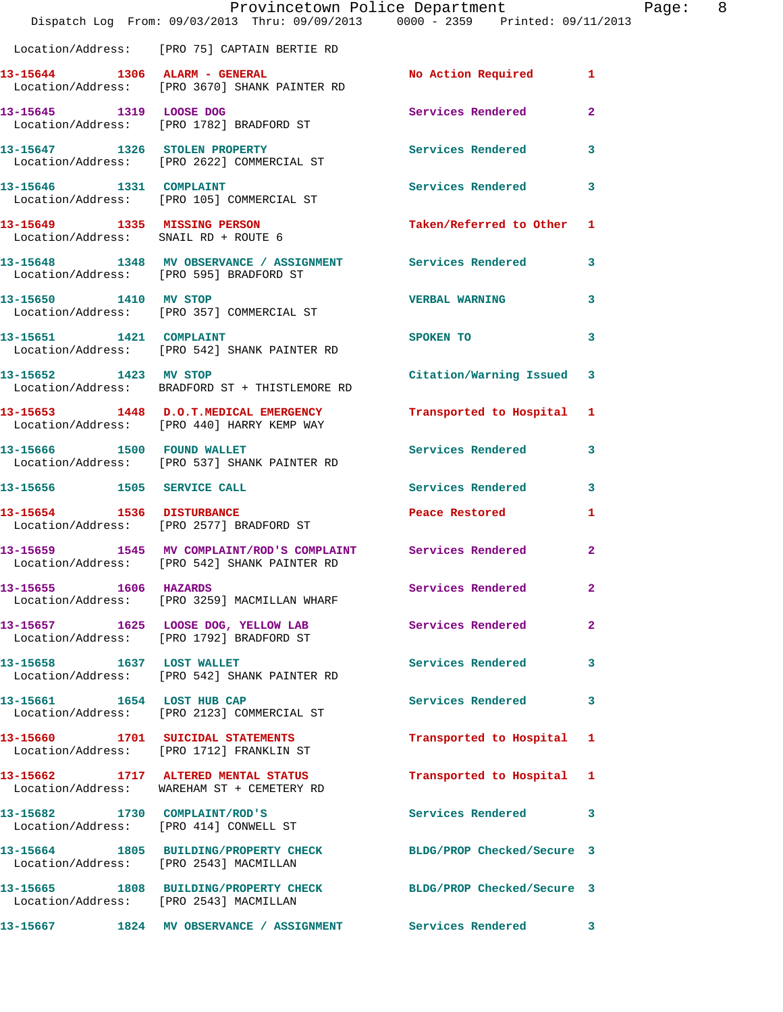|                                        | Dispatch Log From: 09/03/2013 Thru: 09/09/2013 0000 - 2359 Printed: 09/11/2013                                 | Provincetown Police Department | Page: 8                 |
|----------------------------------------|----------------------------------------------------------------------------------------------------------------|--------------------------------|-------------------------|
|                                        | Location/Address: [PRO 75] CAPTAIN BERTIE RD                                                                   |                                |                         |
|                                        | 13-15644 1306 ALARM - GENERAL<br>Location/Address: [PRO 3670] SHANK PAINTER RD                                 | No Action Required 1           |                         |
|                                        | 13-15645 1319 LOOSE DOG<br>Location/Address: [PRO 1782] BRADFORD ST                                            | Services Rendered              | $\overline{2}$          |
|                                        | 13-15647 1326 STOLEN PROPERTY 139 Services Rendered 3<br>Location/Address: [PRO 2622] COMMERCIAL ST            |                                |                         |
|                                        | 13-15646 1331 COMPLAINT<br>Location/Address: [PRO 105] COMMERCIAL ST                                           | Services Rendered              | 3                       |
| Location/Address: SNAIL RD + ROUTE 6   | 13-15649 1335 MISSING PERSON                                                                                   | Taken/Referred to Other 1      |                         |
|                                        | 13-15648 1348 MV OBSERVANCE / ASSIGNMENT Services Rendered<br>Location/Address: [PRO 595] BRADFORD ST          |                                | $\overline{\mathbf{3}}$ |
| 13-15650 1410 MV STOP                  | Location/Address: [PRO 357] COMMERCIAL ST                                                                      | <b>VERBAL WARNING</b>          | $\mathbf{3}$            |
|                                        | Location/Address: [PRO 542] SHANK PAINTER RD                                                                   | SPOKEN TO                      | $\mathbf{3}$            |
| 13-15652 1423 MV STOP                  | Location/Address: BRADFORD ST + THISTLEMORE RD                                                                 | Citation/Warning Issued 3      |                         |
|                                        | 13-15653 1448 D.O.T.MEDICAL EMERGENCY<br>Location/Address: [PRO 440] HARRY KEMP WAY                            | Transported to Hospital 1      |                         |
|                                        | 13-15666 1500 FOUND WALLET<br>Location/Address: [PRO 537] SHANK PAINTER RD                                     | Services Rendered              | 3                       |
|                                        | 13-15656 1505 SERVICE CALL                                                                                     | Services Rendered 3            |                         |
|                                        | 13-15654 1536 DISTURBANCE<br>Location/Address: [PRO 2577] BRADFORD ST                                          | Peace Restored and the sea     | $\mathbf{1}$            |
|                                        | 13-15659 1545 MV COMPLAINT/ROD'S COMPLAINT Services Rendered 2<br>Location/Address: [PRO 542] SHANK PAINTER RD |                                |                         |
| 13-15655 1606 HAZARDS                  | Location/Address: [PRO 3259] MACMILLAN WHARF                                                                   | Services Rendered 2            |                         |
|                                        | 13-15657 1625 LOOSE DOG, YELLOW LAB<br>Location/Address: [PRO 1792] BRADFORD ST                                | Services Rendered              | $\mathbf{2}$            |
|                                        | 13-15658 1637 LOST WALLET<br>Location/Address: [PRO 542] SHANK PAINTER RD                                      | Services Rendered 3            |                         |
|                                        | 13-15661 1654 LOST HUB CAP<br>Location/Address: [PRO 2123] COMMERCIAL ST                                       | Services Rendered              | 3                       |
|                                        | 13-15660 1701 SUICIDAL STATEMENTS<br>Location/Address: [PRO 1712] FRANKLIN ST                                  | Transported to Hospital 1      |                         |
|                                        | 13-15662 1717 ALTERED MENTAL STATUS<br>Location/Address: WAREHAM ST + CEMETERY RD                              | Transported to Hospital 1      |                         |
|                                        | 13-15682 1730 COMPLAINT/ROD'S<br>Location/Address: [PRO 414] CONWELL ST                                        | Services Rendered 3            |                         |
| Location/Address: [PRO 2543] MACMILLAN | 13-15664 1805 BUILDING/PROPERTY CHECK BLDG/PROP Checked/Secure 3                                               |                                |                         |
| Location/Address: [PRO 2543] MACMILLAN | 13-15665 1808 BUILDING/PROPERTY CHECK BLDG/PROP Checked/Secure 3                                               |                                |                         |
|                                        | 13-15667 1824 MV OBSERVANCE / ASSIGNMENT Services Rendered 3                                                   |                                |                         |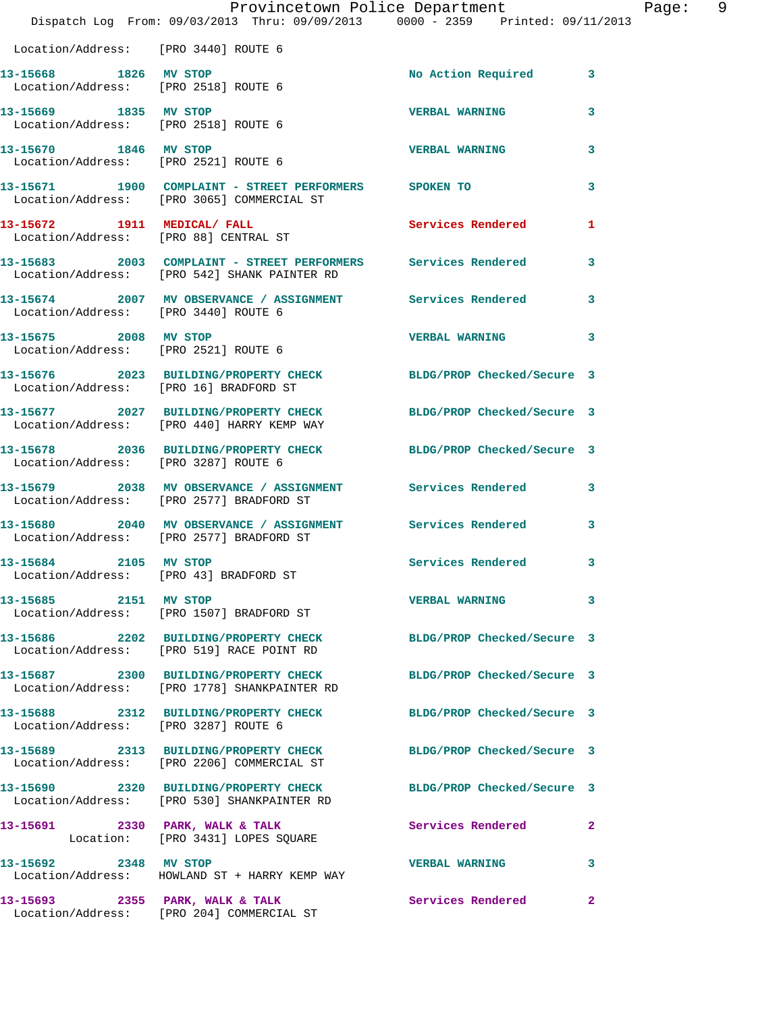|                                                               | Dispatch Log From: 09/03/2013 Thru: 09/09/2013 0000 - 2359 Printed: 09/11/2013                                   | Provincetown Police Department | Page: 9      |  |
|---------------------------------------------------------------|------------------------------------------------------------------------------------------------------------------|--------------------------------|--------------|--|
| Location/Address: [PRO 3440] ROUTE 6                          |                                                                                                                  |                                |              |  |
| 13-15668 1826 MV STOP                                         | Location/Address: [PRO 2518] ROUTE 6                                                                             | No Action Required 3           |              |  |
| 13-15669 1835 MV STOP<br>Location/Address: [PRO 2518] ROUTE 6 |                                                                                                                  | <b>VERBAL WARNING</b>          | 3            |  |
| 13-15670 1846 MV STOP<br>Location/Address: [PRO 2521] ROUTE 6 |                                                                                                                  | <b>VERBAL WARNING</b>          | $\mathbf{3}$ |  |
|                                                               | 13-15671 1900 COMPLAINT - STREET PERFORMERS SPOKEN TO<br>Location/Address: [PRO 3065] COMMERCIAL ST              |                                | 3            |  |
|                                                               | 13-15672 1911 MEDICAL/ FALL<br>Location/Address: [PRO 88] CENTRAL ST                                             | Services Rendered              | 1            |  |
|                                                               | 13-15683 2003 COMPLAINT - STREET PERFORMERS Services Rendered<br>Location/Address: [PRO 542] SHANK PAINTER RD    |                                | $\mathbf{3}$ |  |
| Location/Address: [PRO 3440] ROUTE 6                          | 13-15674 2007 MV OBSERVANCE / ASSIGNMENT Services Rendered                                                       |                                | $\mathbf{3}$ |  |
| 13-15675 2008 MV STOP                                         | Location/Address: [PRO 2521] ROUTE 6                                                                             | <b>VERBAL WARNING</b>          | $\mathbf{3}$ |  |
| Location/Address: [PRO 16] BRADFORD ST                        | 13-15676 2023 BUILDING/PROPERTY CHECK BLDG/PROP Checked/Secure 3                                                 |                                |              |  |
|                                                               | 13-15677 2027 BUILDING/PROPERTY CHECK BLDG/PROP Checked/Secure 3<br>Location/Address: [PRO 440] HARRY KEMP WAY   |                                |              |  |
| Location/Address: [PRO 3287] ROUTE 6                          | 13-15678 2036 BUILDING/PROPERTY CHECK BLDG/PROP Checked/Secure 3                                                 |                                |              |  |
|                                                               | 13-15679 2038 MV OBSERVANCE / ASSIGNMENT Services Rendered 3<br>Location/Address: [PRO 2577] BRADFORD ST         |                                |              |  |
|                                                               | 13-15680 2040 MV OBSERVANCE / ASSIGNMENT Services Rendered<br>Location/Address: [PRO 2577] BRADFORD ST           |                                | 3            |  |
| 13-15684 2105 MV STOP                                         | Location/Address: [PRO 43] BRADFORD ST                                                                           | Services Rendered 3            |              |  |
| 13-15685 2151 MV STOP                                         | Location/Address: [PRO 1507] BRADFORD ST                                                                         | VERBAL WARNING 3               |              |  |
|                                                               | 13-15686 2202 BUILDING/PROPERTY CHECK<br>Location/Address: [PRO 519] RACE POINT RD                               | BLDG/PROP Checked/Secure 3     |              |  |
|                                                               | 13-15687 2300 BUILDING/PROPERTY CHECK BLDG/PROP Checked/Secure 3<br>Location/Address: [PRO 1778] SHANKPAINTER RD |                                |              |  |
| Location/Address: [PRO 3287] ROUTE 6                          | 13-15688 2312 BUILDING/PROPERTY CHECK                                                                            | BLDG/PROP Checked/Secure 3     |              |  |
|                                                               | 13-15689 2313 BUILDING/PROPERTY CHECK BLDG/PROP Checked/Secure 3<br>Location/Address: [PRO 2206] COMMERCIAL ST   |                                |              |  |
|                                                               | 13-15690 2320 BUILDING/PROPERTY CHECK BLDG/PROP Checked/Secure 3<br>Location/Address: [PRO 530] SHANKPAINTER RD  |                                |              |  |
|                                                               | 13-15691 2330 PARK, WALK & TALK<br>Location: [PRO 3431] LOPES SQUARE                                             | Services Rendered              | $\mathbf{2}$ |  |
| 13-15692 2348 MV STOP                                         | Location/Address: HOWLAND ST + HARRY KEMP WAY                                                                    | VERBAL WARNING 3               |              |  |
|                                                               | 13-15693 2355 PARK, WALK & TALK                                                                                  | <b>Services Rendered</b>       | $\mathbf{2}$ |  |

Location/Address: [PRO 204] COMMERCIAL ST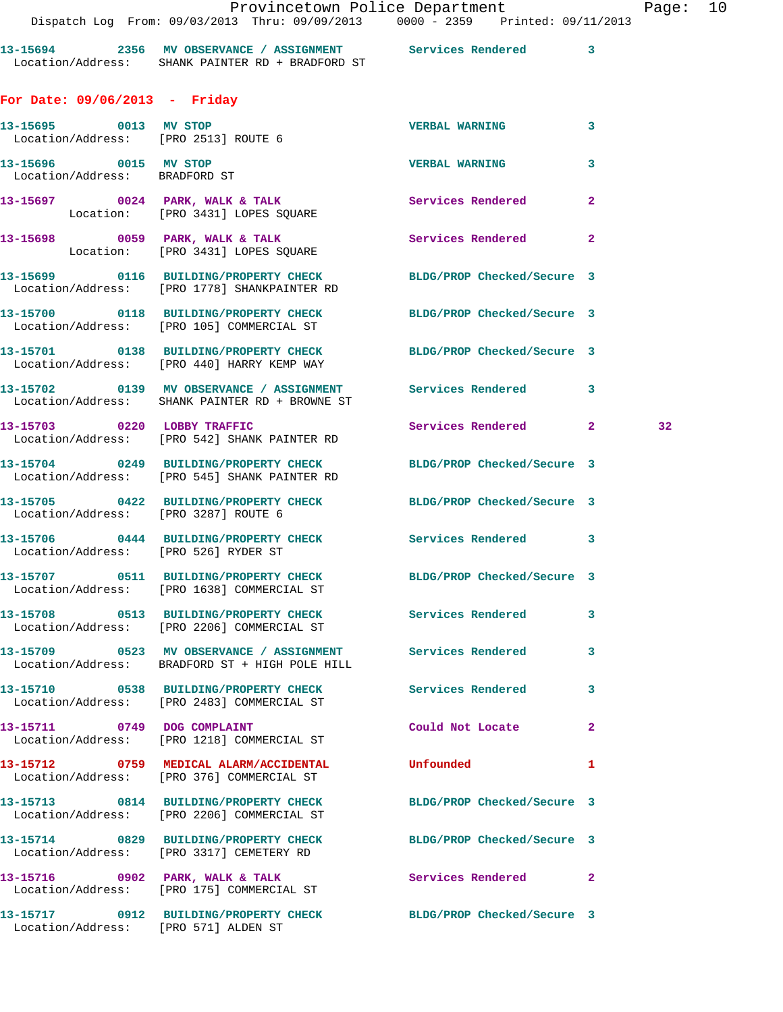Dispatch Log From: 09/03/2013 Thru: 09/09/2013 0000 - 2359 Printed: 09/11/2013

**13-15694 2356 MV OBSERVANCE / ASSIGNMENT Services Rendered 3**  Location/Address: SHANK PAINTER RD + BRADFORD ST

**For Date: 09/06/2013 - Friday**

| 13-15695 0013 MV STOP                | Location/Address: [PRO 2513] ROUTE 6                                                                             | <b>VERBAL WARNING</b>      | 3               |
|--------------------------------------|------------------------------------------------------------------------------------------------------------------|----------------------------|-----------------|
| Location/Address: BRADFORD ST        | 13-15696 0015 MV STOP 2000 2000 2000 VERBAL WARNING                                                              |                            | $\mathbf{3}$    |
|                                      | $13-15697$ 0024 PARK, WALK & TALK<br>Location: [PRO 3431] LOPES SQUARE                                           | Services Rendered          | $\overline{2}$  |
|                                      | 13-15698 0059 PARK, WALK & TALK 30 Services Rendered<br>Location: [PRO 3431] LOPES SQUARE                        |                            | $\mathbf{2}$    |
|                                      | 13-15699 0116 BUILDING/PROPERTY CHECK BLDG/PROP Checked/Secure 3<br>Location/Address: [PRO 1778] SHANKPAINTER RD |                            |                 |
|                                      | 13-15700 0118 BUILDING/PROPERTY CHECK BLDG/PROP Checked/Secure 3<br>Location/Address: [PRO 105] COMMERCIAL ST    |                            |                 |
|                                      | 13-15701 0138 BUILDING/PROPERTY CHECK BLDG/PROP Checked/Secure 3<br>Location/Address: [PRO 440] HARRY KEMP WAY   |                            |                 |
|                                      | 13-15702 0139 MV OBSERVANCE / ASSIGNMENT Services Rendered 3<br>Location/Address: SHANK PAINTER RD + BROWNE ST   |                            |                 |
|                                      | 13-15703 0220 LOBBY TRAFFIC Services Rendered 2<br>Location/Address: [PRO 542] SHANK PAINTER RD                  |                            | 32 <sub>1</sub> |
|                                      | 13-15704 0249 BUILDING/PROPERTY CHECK BLDG/PROP Checked/Secure 3<br>Location/Address: [PRO 545] SHANK PAINTER RD |                            |                 |
| Location/Address: [PRO 3287] ROUTE 6 | 13-15705 0422 BUILDING/PROPERTY CHECK BLDG/PROP Checked/Secure 3                                                 |                            |                 |
| Location/Address: [PRO 526] RYDER ST | 13-15706 0444 BUILDING/PROPERTY CHECK Services Rendered 3                                                        |                            |                 |
|                                      | 13-15707 0511 BUILDING/PROPERTY CHECK BLDG/PROP Checked/Secure 3<br>Location/Address: [PRO 1638] COMMERCIAL ST   |                            |                 |
|                                      | 13-15708 0513 BUILDING/PROPERTY CHECK Services Rendered 3<br>Location/Address: [PRO 2206] COMMERCIAL ST          |                            |                 |
|                                      | 13-15709 0523 MV OBSERVANCE / ASSIGNMENT Services Rendered<br>Location/Address: BRADFORD ST + HIGH POLE HILL     |                            | 3               |
|                                      | 13-15710 0538 BUILDING/PROPERTY CHECK<br>Location/Address: [PRO 2483] COMMERCIAL ST                              | Services Rendered          | 3.              |
| 13-15711 0749 DOG COMPLAINT          | Location/Address: [PRO 1218] COMMERCIAL ST                                                                       | Could Not Locate           | $\mathbf{2}$    |
|                                      | 13-15712 0759 MEDICAL ALARM/ACCIDENTAL<br>Location/Address: [PRO 376] COMMERCIAL ST                              | Unfounded                  | 1               |
|                                      | 13-15713 0814 BUILDING/PROPERTY CHECK<br>Location/Address: [PRO 2206] COMMERCIAL ST                              | BLDG/PROP Checked/Secure 3 |                 |
|                                      | 13-15714 0829 BUILDING/PROPERTY CHECK<br>Location/Address: [PRO 3317] CEMETERY RD                                | BLDG/PROP Checked/Secure 3 |                 |
| 13-15716 0902 PARK, WALK & TALK      | Location/Address: [PRO 175] COMMERCIAL ST                                                                        | Services Rendered          | $\mathbf{2}$    |
| Location/Address: [PRO 571] ALDEN ST | 13-15717 0912 BUILDING/PROPERTY CHECK                                                                            | BLDG/PROP Checked/Secure 3 |                 |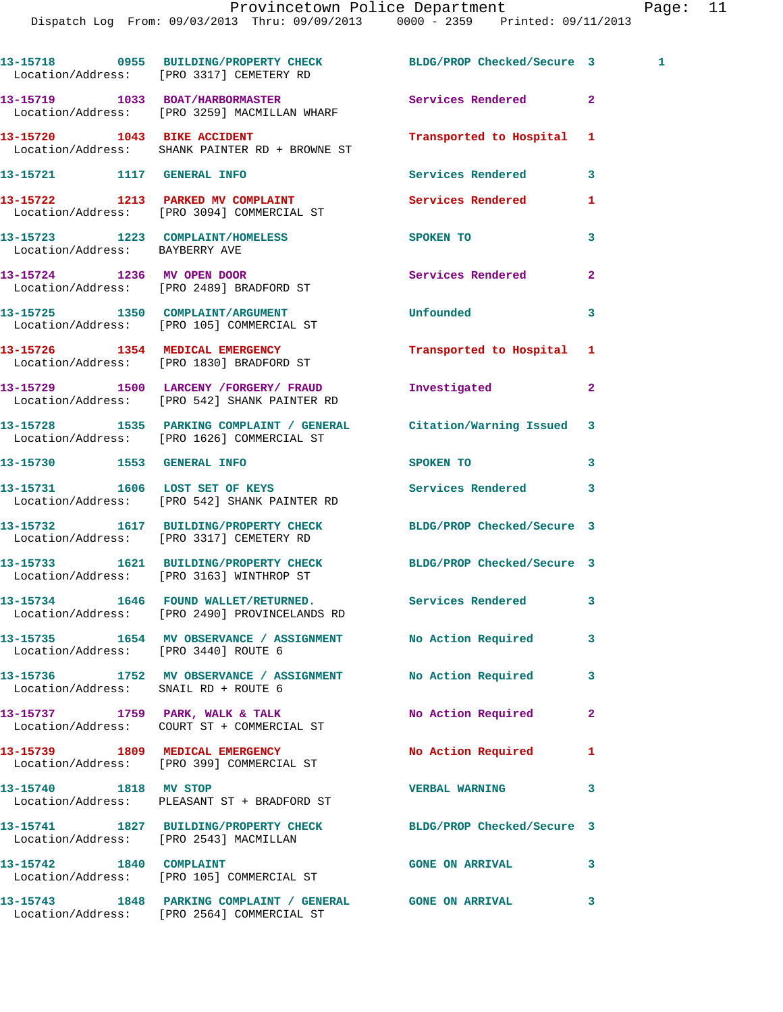|                                        | 13-15718 0955 BUILDING/PROPERTY CHECK BLDG/PROP Checked/Secure 3<br>Location/Address: [PRO 3317] CEMETERY RD    |                            |                | $\mathbf{1}$ |
|----------------------------------------|-----------------------------------------------------------------------------------------------------------------|----------------------------|----------------|--------------|
|                                        | 13-15719 1033 BOAT/HARBORMASTER<br>Location/Address: [PRO 3259] MACMILLAN WHARF                                 | Services Rendered          | $\overline{2}$ |              |
|                                        | 13-15720 1043 BIKE ACCIDENT<br>Location/Address: SHANK PAINTER RD + BROWNE ST                                   | Transported to Hospital    | 1              |              |
| 13-15721 1117 GENERAL INFO             |                                                                                                                 | Services Rendered          | 3              |              |
|                                        | 13-15722 1213 PARKED MV COMPLAINT<br>Location/Address: [PRO 3094] COMMERCIAL ST                                 | <b>Services Rendered</b>   | 1              |              |
| Location/Address: BAYBERRY AVE         | 13-15723 1223 COMPLAINT/HOMELESS                                                                                | SPOKEN TO                  | 3              |              |
|                                        | 13-15724 1236 MV OPEN DOOR<br>Location/Address: [PRO 2489] BRADFORD ST                                          | Services Rendered          | $\mathbf{2}$   |              |
|                                        | 13-15725 1350 COMPLAINT/ARGUMENT<br>Location/Address: [PRO 105] COMMERCIAL ST                                   | Unfounded                  | 3              |              |
|                                        | 13-15726 1354 MEDICAL EMERGENCY<br>Location/Address: [PRO 1830] BRADFORD ST                                     | Transported to Hospital 1  |                |              |
|                                        | 13-15729 1500 LARCENY / FORGERY / FRAUD<br>Location/Address: [PRO 542] SHANK PAINTER RD                         | Investigated               | $\overline{a}$ |              |
|                                        | 13-15728 1535 PARKING COMPLAINT / GENERAL Citation/Warning Issued<br>Location/Address: [PRO 1626] COMMERCIAL ST |                            | 3              |              |
| 13-15730 1553 GENERAL INFO             |                                                                                                                 | SPOKEN TO                  | 3              |              |
|                                        | 13-15731 1606 LOST SET OF KEYS<br>Location/Address: [PRO 542] SHANK PAINTER RD                                  | Services Rendered          | 3              |              |
|                                        | 13-15732 1617 BUILDING/PROPERTY CHECK<br>Location/Address: [PRO 3317] CEMETERY RD                               | BLDG/PROP Checked/Secure 3 |                |              |
|                                        | 13-15733 1621 BUILDING/PROPERTY CHECK BLDG/PROP Checked/Secure 3<br>Location/Address: [PRO 3163] WINTHROP ST    |                            |                |              |
|                                        | 13-15734 1646 FOUND WALLET/RETURNED.<br>Location/Address: [PRO 2490] PROVINCELANDS RD                           | Services Rendered          | 3              |              |
| Location/Address: [PRO 3440] ROUTE 6   | 13-15735 1654 MV OBSERVANCE / ASSIGNMENT No Action Required                                                     |                            | 3              |              |
| Location/Address: SNAIL RD + ROUTE 6   | 13-15736 1752 MV OBSERVANCE / ASSIGNMENT No Action Required                                                     |                            | 3              |              |
|                                        | 13-15737 1759 PARK, WALK & TALK                                                                                 | No Action Required         | $\overline{a}$ |              |
|                                        | 13-15739 1809 MEDICAL EMERGENCY<br>Location/Address: [PRO 399] COMMERCIAL ST                                    | No Action Required         | 1              |              |
| 13-15740 1818 MV STOP                  | Location/Address: PLEASANT ST + BRADFORD ST                                                                     | <b>VERBAL WARNING</b>      | 3              |              |
| Location/Address: [PRO 2543] MACMILLAN | 13-15741 1827 BUILDING/PROPERTY CHECK BLDG/PROP Checked/Secure 3                                                |                            |                |              |
|                                        | 13-15742 1840 COMPLAINT<br>Location/Address: [PRO 105] COMMERCIAL ST                                            | <b>GONE ON ARRIVAL</b>     | 3              |              |
|                                        | 13-15743 1848 PARKING COMPLAINT / GENERAL GONE ON ARRIVAL<br>Location/Address: [PRO 2564] COMMERCIAL ST         |                            | 3              |              |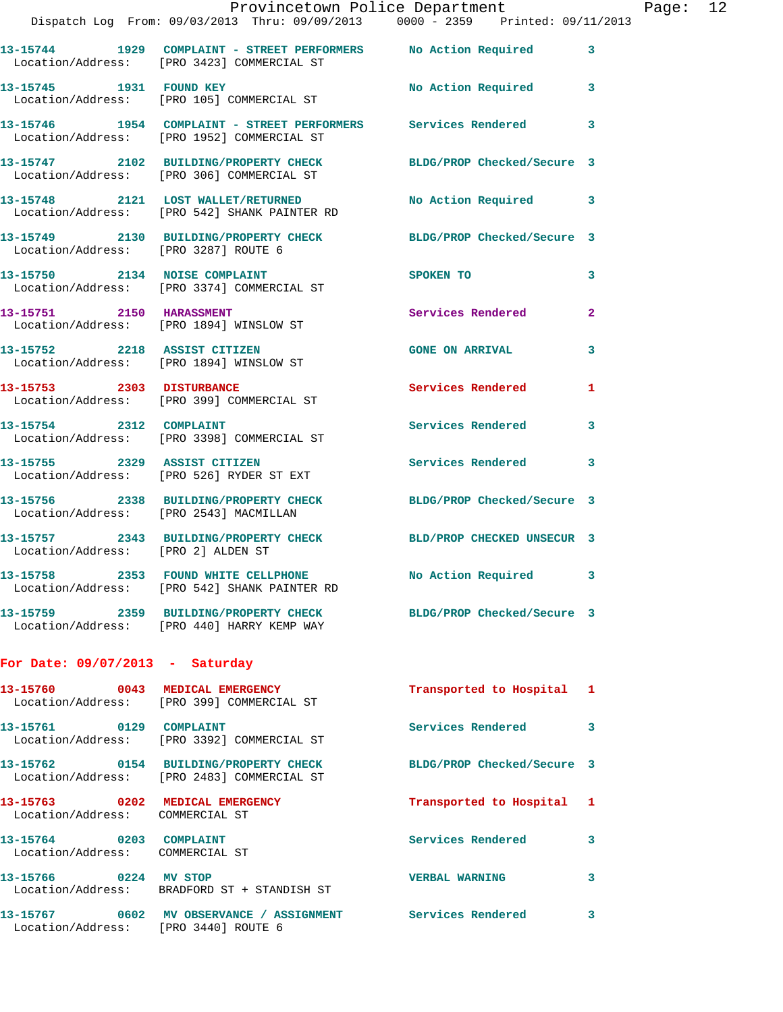|                                                            | Dispatch Log From: 09/03/2013 Thru: 09/09/2013 0000 - 2359 Printed: 09/11/2013                                 | Provincetown Police Department Page: 12 |              |  |
|------------------------------------------------------------|----------------------------------------------------------------------------------------------------------------|-----------------------------------------|--------------|--|
|                                                            | 13-15744 1929 COMPLAINT - STREET PERFORMERS No Action Required 3                                               |                                         |              |  |
|                                                            | Location/Address: [PRO 3423] COMMERCIAL ST                                                                     |                                         |              |  |
|                                                            | 13-15745 1931 FOUND KEY No Action Required 3<br>Location/Address: [PRO 105] COMMERCIAL ST                      |                                         |              |  |
|                                                            | 13-15746 1954 COMPLAINT - STREET PERFORMERS Services Rendered 3<br>Location/Address: [PRO 1952] COMMERCIAL ST  |                                         |              |  |
|                                                            | 13-15747 2102 BUILDING/PROPERTY CHECK BLDG/PROP Checked/Secure 3<br>Location/Address: [PRO 306] COMMERCIAL ST  |                                         |              |  |
|                                                            | 13-15748 2121 LOST WALLET/RETURNED<br>Location/Address: [PRO 542] SHANK PAINTER RD                             | No Action Required 3                    |              |  |
| Location/Address: [PRO 3287] ROUTE 6                       | 13-15749 2130 BUILDING/PROPERTY CHECK BLDG/PROP Checked/Secure 3                                               |                                         |              |  |
|                                                            | 13-15750 2134 NOISE COMPLAINT<br>Location/Address: [PRO 3374] COMMERCIAL ST                                    | <b>SPOKEN TO</b>                        | 3            |  |
|                                                            | 13-15751 2150 HARASSMENT<br>Location/Address: [PRO 1894] WINSLOW ST                                            | Services Rendered                       | $\mathbf{2}$ |  |
|                                                            | 13-15752 2218 ASSIST CITIZEN<br>Location/Address: [PRO 1894] WINSLOW ST                                        | GONE ON ARRIVAL 3                       |              |  |
|                                                            | 13-15753 2303 DISTURBANCE<br>Location/Address: [PRO 399] COMMERCIAL ST                                         | Services Rendered                       | 1            |  |
| 13-15754 2312 COMPLAINT                                    | Location/Address: [PRO 3398] COMMERCIAL ST                                                                     | Services Rendered 3                     |              |  |
|                                                            | 13-15755 2329 ASSIST CITIZEN<br>Location/Address: [PRO 526] RYDER ST EXT                                       | Services Rendered                       | 3            |  |
|                                                            | 13-15756 2338 BUILDING/PROPERTY CHECK BLDG/PROP Checked/Secure 3<br>Location/Address: [PRO 2543] MACMILLAN     |                                         |              |  |
| Location/Address: [PRO 2] ALDEN ST                         | 13-15757 2343 BUILDING/PROPERTY CHECK BLD/PROP CHECKED UNSECUR 3                                               |                                         |              |  |
|                                                            | 13-15758 2353 FOUND WHITE CELLPHONE<br>Location/Address: [PRO 542] SHANK PAINTER RD                            | No Action Required 3                    |              |  |
|                                                            | 13-15759 2359 BUILDING/PROPERTY CHECK BLDG/PROP Checked/Secure 3<br>Location/Address: [PRO 440] HARRY KEMP WAY |                                         |              |  |
| For Date: $09/07/2013$ - Saturday                          |                                                                                                                |                                         |              |  |
|                                                            | 13-15760 0043 MEDICAL EMERGENCY<br>Location/Address: [PRO 399] COMMERCIAL ST                                   | Transported to Hospital 1               |              |  |
| 13-15761 0129 COMPLAINT                                    | Location/Address: [PRO 3392] COMMERCIAL ST                                                                     | Services Rendered 3                     |              |  |
|                                                            | 13-15762 0154 BUILDING/PROPERTY CHECK BLDG/PROP Checked/Secure 3<br>Location/Address: [PRO 2483] COMMERCIAL ST |                                         |              |  |
| Location/Address: COMMERCIAL ST                            | 13-15763 0202 MEDICAL EMERGENCY                                                                                | Transported to Hospital 1               |              |  |
| 13-15764 0203 COMPLAINT<br>Location/Address: COMMERCIAL ST |                                                                                                                | Services Rendered                       | 3            |  |
| 13-15766 0224 MV STOP                                      | Location/Address: BRADFORD ST + STANDISH ST                                                                    | <b>VERBAL WARNING</b>                   | 3            |  |
| Location/Address: [PRO 3440] ROUTE 6                       | 13-15767 0602 MV OBSERVANCE / ASSIGNMENT Services Rendered                                                     |                                         | 3            |  |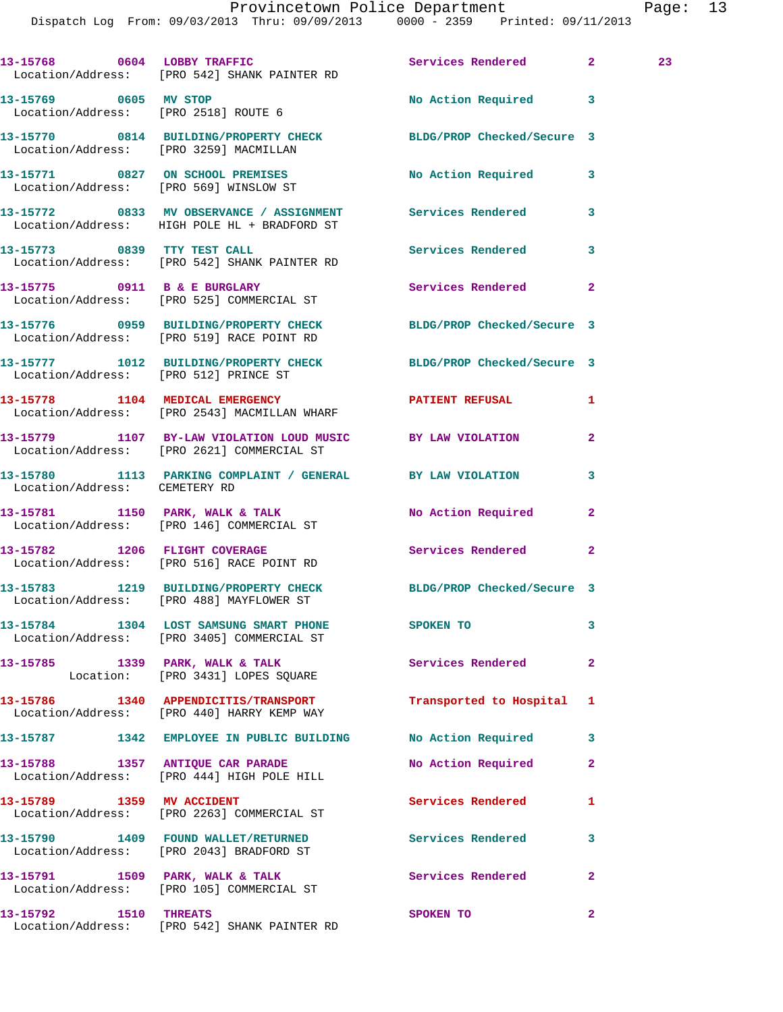Dispatch Log From: 09/03/2013 Thru: 09/09/2013 0000 - 2359 Printed: 09/11/2013

|                               | 13-15768 0604 LOBBY TRAFFIC Services Rendered 2<br>Location/Address: [PRO 542] SHANK PAINTER RD               |                          |                | 23 |
|-------------------------------|---------------------------------------------------------------------------------------------------------------|--------------------------|----------------|----|
|                               | 13-15769 0605 MV STOP<br>Location/Address: [PRO 2518] ROUTE 6                                                 | No Action Required 3     |                |    |
|                               | 13-15770 0814 BUILDING/PROPERTY CHECK BLDG/PROP Checked/Secure 3<br>Location/Address: [PRO 3259] MACMILLAN    |                          |                |    |
|                               | 13-15771 0827 ON SCHOOL PREMISES No Action Required<br>Location/Address: [PRO 569] WINSLOW ST                 |                          | 3              |    |
|                               | 13-15772 0833 MV OBSERVANCE / ASSIGNMENT Services Rendered<br>Location/Address: HIGH POLE HL + BRADFORD ST    |                          | 3              |    |
|                               | 13-15773 0839 TTY TEST CALL<br>Location/Address: [PRO 542] SHANK PAINTER RD                                   | Services Rendered        | 3              |    |
|                               | 13-15775 0911 B & E BURGLARY<br>Location/Address: [PRO 525] COMMERCIAL ST                                     | Services Rendered        | $\mathbf{2}$   |    |
|                               | 13-15776 0959 BUILDING/PROPERTY CHECK BLDG/PROP Checked/Secure 3<br>Location/Address: [PRO 519] RACE POINT RD |                          |                |    |
|                               | 13-15777 1012 BUILDING/PROPERTY CHECK BLDG/PROP Checked/Secure 3<br>Location/Address: [PRO 512] PRINCE ST     |                          |                |    |
|                               | 13-15778 1104 MEDICAL EMERGENCY<br>Location/Address: [PRO 2543] MACMILLAN WHARF                               | PATIENT REFUSAL          | 1              |    |
|                               | 13-15779 1107 BY-LAW VIOLATION LOUD MUSIC BY LAW VIOLATION<br>Location/Address: [PRO 2621] COMMERCIAL ST      |                          | $\mathbf{2}$   |    |
| Location/Address: CEMETERY RD | 13-15780 1113 PARKING COMPLAINT / GENERAL BY LAW VIOLATION                                                    |                          | 3              |    |
|                               | 13-15781 1150 PARK, WALK & TALK<br>Location/Address: [PRO 146] COMMERCIAL ST                                  | No Action Required       | $\mathbf{2}$   |    |
|                               | 13-15782 1206 FLIGHT COVERAGE<br>Location/Address: [PRO 516] RACE POINT RD                                    | Services Rendered 2      |                |    |
|                               | 13-15783 1219 BUILDING/PROPERTY CHECK BLDG/PROP Checked/Secure 3<br>Location/Address: [PRO 488] MAYFLOWER ST  |                          |                |    |
|                               | 13-15784 1304 LOST SAMSUNG SMART PHONE<br>Location/Address: [PRO 3405] COMMERCIAL ST                          | SPOKEN TO                | 3              |    |
|                               | 13-15785 1339 PARK, WALK & TALK<br>Location: [PRO 3431] LOPES SQUARE                                          | Services Rendered        | $\mathbf{2}$   |    |
|                               | 13-15786 1340 APPENDICITIS/TRANSPORT<br>Location/Address: [PRO 440] HARRY KEMP WAY                            | Transported to Hospital  | 1              |    |
|                               | 13-15787 1342 EMPLOYEE IN PUBLIC BUILDING No Action Required                                                  |                          | 3              |    |
|                               | 13-15788 1357 ANTIQUE CAR PARADE<br>Location/Address: [PRO 444] HIGH POLE HILL                                | No Action Required       | $\mathbf{2}$   |    |
| 13-15789 1359 MV ACCIDENT     | Location/Address: [PRO 2263] COMMERCIAL ST                                                                    | Services Rendered        | 1              |    |
|                               | 13-15790 1409 FOUND WALLET/RETURNED<br>Location/Address: [PRO 2043] BRADFORD ST                               | <b>Services Rendered</b> | 3              |    |
|                               | 13-15791 1509 PARK, WALK & TALK<br>Location/Address: [PRO 105] COMMERCIAL ST                                  | <b>Services Rendered</b> | $\mathbf{2}$   |    |
| 13-15792 1510 THREATS         | Location/Address: [PRO 542] SHANK PAINTER RD                                                                  | SPOKEN TO                | $\overline{2}$ |    |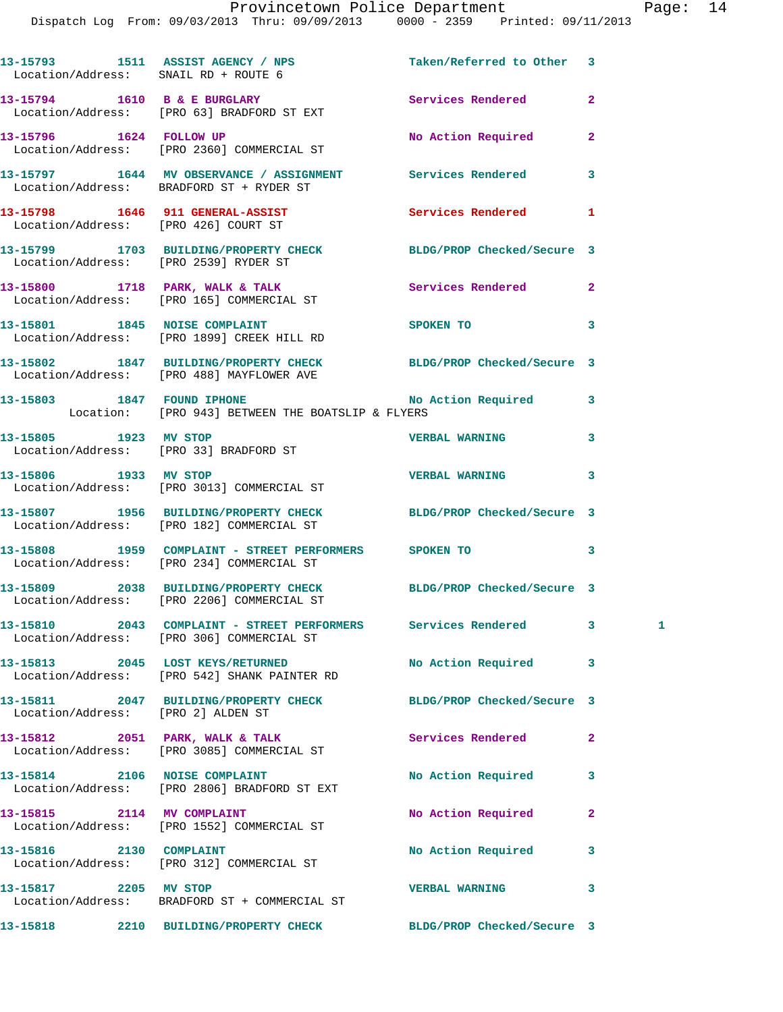|                                       | 13-15793 1511 ASSIST AGENCY / NPS<br>Location/Address: SNAIL RD + ROUTE 6                                      | Taken/Referred to Other 3  |                   |
|---------------------------------------|----------------------------------------------------------------------------------------------------------------|----------------------------|-------------------|
|                                       | 13-15794 1610 B & E BURGLARY 13-15794 Services Rendered<br>Location/Address: [PRO 63] BRADFORD ST EXT          |                            | $\overline{a}$    |
|                                       | 13-15796 1624 FOLLOW UP<br>Location/Address: [PRO 2360] COMMERCIAL ST                                          | No Action Required         | $\mathbf{2}$      |
|                                       | 13-15797 1644 MV OBSERVANCE / ASSIGNMENT Services Rendered<br>Location/Address: BRADFORD ST + RYDER ST         |                            | 3                 |
|                                       | 13-15798 1646 911 GENERAL-ASSIST<br>Location/Address: [PRO 426] COURT ST                                       | <b>Services Rendered</b>   | 1                 |
| Location/Address: [PRO 2539] RYDER ST | 13-15799 1703 BUILDING/PROPERTY CHECK BLDG/PROP Checked/Secure 3                                               |                            |                   |
|                                       | 13-15800 1718 PARK, WALK & TALK<br>Location/Address: [PRO 165] COMMERCIAL ST                                   | Services Rendered          | $\mathbf{2}$      |
|                                       | 13-15801 1845 NOISE COMPLAINT<br>Location/Address: [PRO 1899] CREEK HILL RD                                    | SPOKEN TO                  | 3                 |
|                                       | 13-15802 1847 BUILDING/PROPERTY CHECK BLDG/PROP Checked/Secure 3<br>Location/Address: [PRO 488] MAYFLOWER AVE  |                            |                   |
|                                       | 13-15803 1847 FOUND IPHONE No Action Required<br>Location: [PRO 943] BETWEEN THE BOATSLIP & FLYERS             |                            | 3                 |
| 13-15805 1923 MV STOP                 | Location/Address: [PRO 33] BRADFORD ST                                                                         | <b>VERBAL WARNING</b>      | 3                 |
|                                       | 13-15806 1933 MV STOP<br>Location/Address: [PRO 3013] COMMERCIAL ST                                            | <b>VERBAL WARNING</b>      | 3                 |
|                                       | 13-15807 1956 BUILDING/PROPERTY CHECK BLDG/PROP Checked/Secure 3<br>Location/Address: [PRO 182] COMMERCIAL ST  |                            |                   |
|                                       | 13-15808 1959 COMPLAINT - STREET PERFORMERS SPOKEN TO<br>Location/Address: [PRO 234] COMMERCIAL ST             |                            | 3                 |
|                                       | 13-15809 2038 BUILDING/PROPERTY CHECK BLDG/PROP Checked/Secure 3<br>Location/Address: [PRO 2206] COMMERCIAL ST |                            |                   |
|                                       | 13-15810 2043 COMPLAINT - STREET PERFORMERS Services Rendered<br>Location/Address: [PRO 306] COMMERCIAL ST     |                            | 3<br>$\mathbf{1}$ |
|                                       | 13-15813 2045 LOST KEYS/RETURNED<br>Location/Address: [PRO 542] SHANK PAINTER RD                               | No Action Required         | 3                 |
| Location/Address: [PRO 2] ALDEN ST    | 13-15811 2047 BUILDING/PROPERTY CHECK                                                                          | BLDG/PROP Checked/Secure 3 |                   |
|                                       | 13-15812 2051 PARK, WALK & TALK<br>Location/Address: [PRO 3085] COMMERCIAL ST                                  | <b>Services Rendered</b>   | $\overline{a}$    |
|                                       | 13-15814 2106 NOISE COMPLAINT<br>Location/Address: [PRO 2806] BRADFORD ST EXT                                  | No Action Required         | 3                 |
| 13-15815 2114 MV COMPLAINT            | Location/Address: [PRO 1552] COMMERCIAL ST                                                                     | No Action Required         | $\mathbf{2}$      |
| 13-15816 2130 COMPLAINT               | Location/Address: [PRO 312] COMMERCIAL ST                                                                      | No Action Required         | 3                 |
| 13-15817 2205 MV STOP                 | Location/Address: BRADFORD ST + COMMERCIAL ST                                                                  | <b>VERBAL WARNING</b>      | 3                 |
|                                       | 13-15818 2210 BUILDING/PROPERTY CHECK                                                                          | BLDG/PROP Checked/Secure 3 |                   |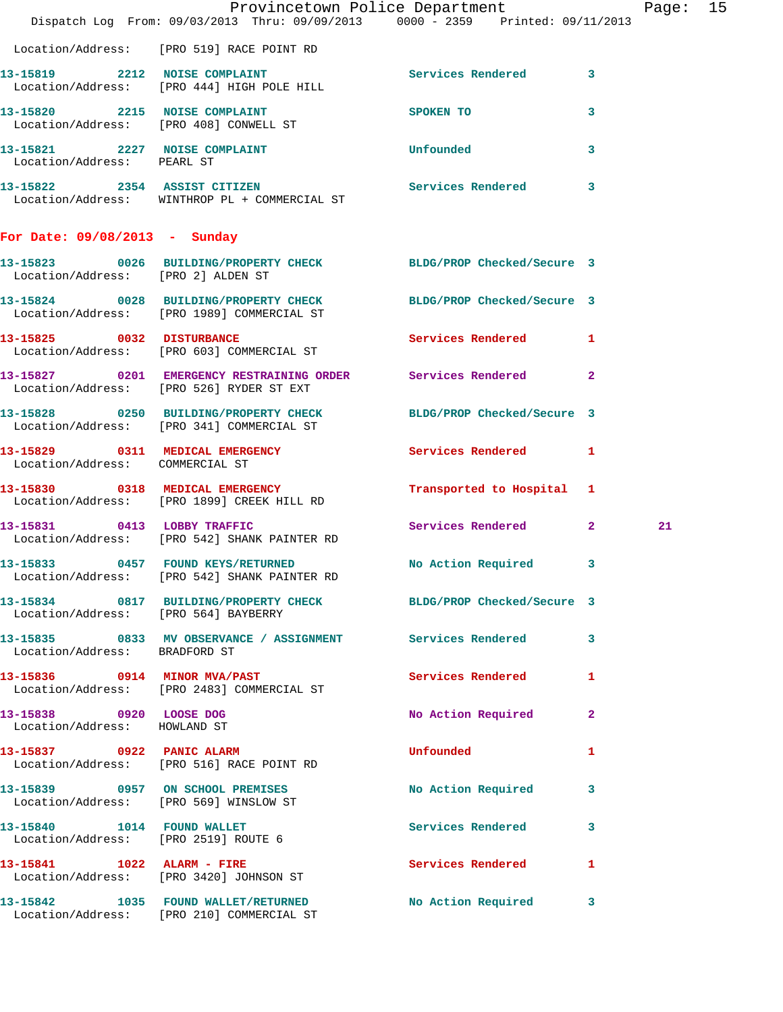|                                                         | Dispatch Log From: 09/03/2013 Thru: 09/09/2013 0000 - 2359 Printed: 09/11/2013                                 | Provincetown Police Department |                | Page: 15 |  |
|---------------------------------------------------------|----------------------------------------------------------------------------------------------------------------|--------------------------------|----------------|----------|--|
|                                                         | Location/Address: [PRO 519] RACE POINT RD                                                                      |                                |                |          |  |
|                                                         | 13-15819 2212 NOISE COMPLAINT Services Rendered 3<br>Location/Address: [PRO 444] HIGH POLE HILL                |                                |                |          |  |
|                                                         | 13-15820 2215 NOISE COMPLAINT<br>Location/Address: [PRO 408] CONWELL ST                                        | SPOKEN TO                      | 3              |          |  |
| Location/Address: PEARL ST                              | 13-15821 2227 NOISE COMPLAINT                                                                                  | <b>Unfounded</b>               | $\mathbf{3}$   |          |  |
|                                                         | 13-15822 2354 ASSIST CITIZEN<br>Location/Address: WINTHROP PL + COMMERCIAL ST                                  | Services Rendered 3            |                |          |  |
| For Date: 09/08/2013 - Sunday                           |                                                                                                                |                                |                |          |  |
| Location/Address: [PRO 2] ALDEN ST                      | 13-15823 0026 BUILDING/PROPERTY CHECK BLDG/PROP Checked/Secure 3                                               |                                |                |          |  |
|                                                         | 13-15824 0028 BUILDING/PROPERTY CHECK BLDG/PROP Checked/Secure 3<br>Location/Address: [PRO 1989] COMMERCIAL ST |                                |                |          |  |
|                                                         | 13-15825 0032 DISTURBANCE<br>Location/Address: [PRO 603] COMMERCIAL ST                                         | Services Rendered 1            |                |          |  |
|                                                         | 13-15827 0201 EMERGENCY RESTRAINING ORDER Services Rendered<br>Location/Address: [PRO 526] RYDER ST EXT        |                                | $\overline{2}$ |          |  |
|                                                         | 13-15828 0250 BUILDING/PROPERTY CHECK BLDG/PROP Checked/Secure 3<br>Location/Address: [PRO 341] COMMERCIAL ST  |                                |                |          |  |
| Location/Address: COMMERCIAL ST                         | 13-15829 0311 MEDICAL EMERGENCY                                                                                | Services Rendered 1            |                |          |  |
|                                                         | 13-15830 0318 MEDICAL EMERGENCY<br>Location/Address: [PRO 1899] CREEK HILL RD                                  | Transported to Hospital 1      |                |          |  |
|                                                         | 13-15831 0413 LOBBY TRAFFIC<br>Location/Address: [PRO 542] SHANK PAINTER RD                                    | Services Rendered 2            |                | 21       |  |
|                                                         | 13-15833 0457 FOUND KEYS/RETURNED No Action Required 3<br>Location/Address: [PRO 542] SHANK PAINTER RD         |                                |                |          |  |
|                                                         | 13-15834 0817 BUILDING/PROPERTY CHECK BLDG/PROP Checked/Secure 3<br>Location/Address: [PRO 564] BAYBERRY       |                                |                |          |  |
| Location/Address: BRADFORD ST                           | 13-15835 0833 MV OBSERVANCE / ASSIGNMENT Services Rendered 3                                                   |                                |                |          |  |
|                                                         | 13-15836 0914 MINOR MVA/PAST<br>Location/Address: [PRO 2483] COMMERCIAL ST                                     | Services Rendered 1            |                |          |  |
| 13-15838 0920 LOOSE DOG<br>Location/Address: HOWLAND ST |                                                                                                                | No Action Required 2           |                |          |  |
|                                                         | 13-15837 0922 PANIC ALARM<br>Location/Address: [PRO 516] RACE POINT RD                                         | <b>Unfounded</b>               | 1              |          |  |
|                                                         | 13-15839 0957 ON SCHOOL PREMISES<br>Location/Address: [PRO 569] WINSLOW ST                                     | No Action Required 3           |                |          |  |
|                                                         | 13-15840 1014 FOUND WALLET<br>Location/Address: [PRO 2519] ROUTE 6                                             | Services Rendered 3            |                |          |  |
|                                                         | 13-15841 1022 ALARM - FIRE<br>Location/Address: [PRO 3420] JOHNSON ST                                          | Services Rendered 1            |                |          |  |
|                                                         | 13-15842 1035 FOUND WALLET/RETURNED<br>Location/Address: [PRO 210] COMMERCIAL ST                               | No Action Required 3           |                |          |  |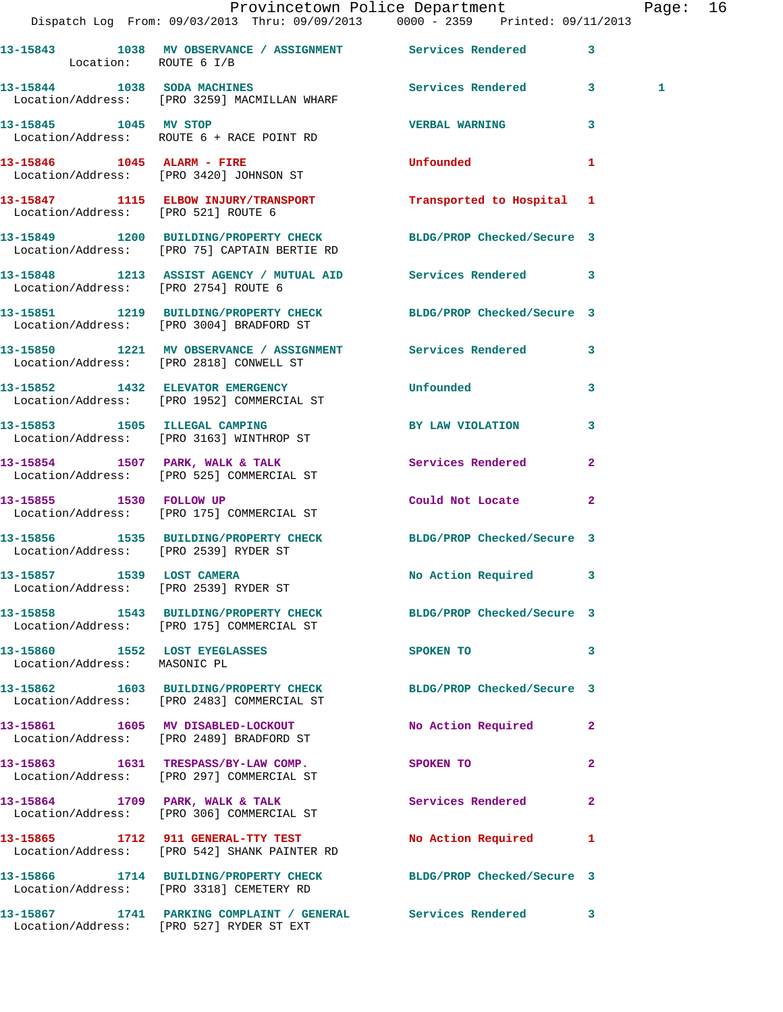|                                                                    | Dispatch Log From: 09/03/2013 Thru: 09/09/2013   0000 - 2359   Printed: 09/11/2013                               | Provincetown Police Department |              | Page: 16     |  |
|--------------------------------------------------------------------|------------------------------------------------------------------------------------------------------------------|--------------------------------|--------------|--------------|--|
| Location: ROUTE 6 I/B                                              | 13-15843 1038 MV OBSERVANCE / ASSIGNMENT Services Rendered 3                                                     |                                |              |              |  |
|                                                                    | 13-15844 1038 SODA MACHINES<br>Location/Address: [PRO 3259] MACMILLAN WHARF                                      | Services Rendered 3            |              | $\mathbf{1}$ |  |
|                                                                    | 13-15845 1045 MV STOP<br>Location/Address: ROUTE 6 + RACE POINT RD                                               | <b>VERBAL WARNING</b>          | $\mathbf{3}$ |              |  |
|                                                                    | 13-15846    1045    ALARM - FIRE<br>Location/Address: [PRO 3420] JOHNSON ST                                      | <b>Unfounded United</b>        | 1            |              |  |
| Location/Address: [PRO 521] ROUTE 6                                | 13-15847 1115 ELBOW INJURY/TRANSPORT Transported to Hospital 1                                                   |                                |              |              |  |
|                                                                    | 13-15849 1200 BUILDING/PROPERTY CHECK BLDG/PROP Checked/Secure 3<br>Location/Address: [PRO 75] CAPTAIN BERTIE RD |                                |              |              |  |
| Location/Address: [PRO 2754] ROUTE 6                               | 13-15848 1213 ASSIST AGENCY / MUTUAL AID Services Rendered 3                                                     |                                |              |              |  |
|                                                                    | 13-15851 1219 BUILDING/PROPERTY CHECK BLDG/PROP Checked/Secure 3<br>Location/Address: [PRO 3004] BRADFORD ST     |                                |              |              |  |
|                                                                    | 13-15850 1221 MV OBSERVANCE / ASSIGNMENT Services Rendered 3<br>Location/Address: [PRO 2818] CONWELL ST          |                                |              |              |  |
|                                                                    | 13-15852 1432 ELEVATOR EMERGENCY Unfounded<br>Location/Address: [PRO 1952] COMMERCIAL ST                         |                                | 3            |              |  |
|                                                                    | 13-15853 1505 ILLEGAL CAMPING<br>Location/Address: [PRO 3163] WINTHROP ST                                        | BY LAW VIOLATION               | 3            |              |  |
|                                                                    | 13-15854 1507 PARK, WALK & TALK 1999 Services Rendered<br>Location/Address: [PRO 525] COMMERCIAL ST              |                                | $\mathbf{2}$ |              |  |
| 13-15855 1530 FOLLOW UP                                            | Location/Address: [PRO 175] COMMERCIAL ST                                                                        | Could Not Locate               | $\mathbf{2}$ |              |  |
|                                                                    | 13-15856 1535 BUILDING/PROPERTY CHECK BLDG/PROP Checked/Secure 3<br>Location/Address: [PRO 2539] RYDER ST        |                                |              |              |  |
| 13-15857 1539 LOST CAMERA<br>Location/Address: [PRO 2539] RYDER ST |                                                                                                                  | No Action Required 3           |              |              |  |
|                                                                    | 13-15858 1543 BUILDING/PROPERTY CHECK BLDG/PROP Checked/Secure 3<br>Location/Address: [PRO 175] COMMERCIAL ST    |                                |              |              |  |
| 13-15860 1552 LOST EYEGLASSES<br>Location/Address: MASONIC PL      |                                                                                                                  | SPOKEN TO                      | 3            |              |  |
|                                                                    | 13-15862 1603 BUILDING/PROPERTY CHECK BLDG/PROP Checked/Secure 3<br>Location/Address: [PRO 2483] COMMERCIAL ST   |                                |              |              |  |
|                                                                    | 13-15861 1605 MV DISABLED-LOCKOUT<br>Location/Address: [PRO 2489] BRADFORD ST                                    | No Action Required 2           |              |              |  |
|                                                                    | 13-15863 1631 TRESPASS/BY-LAW COMP.<br>Location/Address: [PRO 297] COMMERCIAL ST                                 | SPOKEN TO                      | $\mathbf{2}$ |              |  |
|                                                                    | 13-15864 1709 PARK, WALK & TALK<br>Location/Address: [PRO 306] COMMERCIAL ST                                     | <b>Services Rendered</b>       | $\mathbf{2}$ |              |  |
|                                                                    | 13-15865 1712 911 GENERAL-TTY TEST<br>Location/Address: [PRO 542] SHANK PAINTER RD                               | No Action Required             | 1            |              |  |
|                                                                    | 13-15866 1714 BUILDING/PROPERTY CHECK BLDG/PROP Checked/Secure 3<br>Location/Address: [PRO 3318] CEMETERY RD     |                                |              |              |  |
|                                                                    | 13-15867 1741 PARKING COMPLAINT / GENERAL Services Rendered 3<br>Location/Address: [PRO 527] RYDER ST EXT        |                                |              |              |  |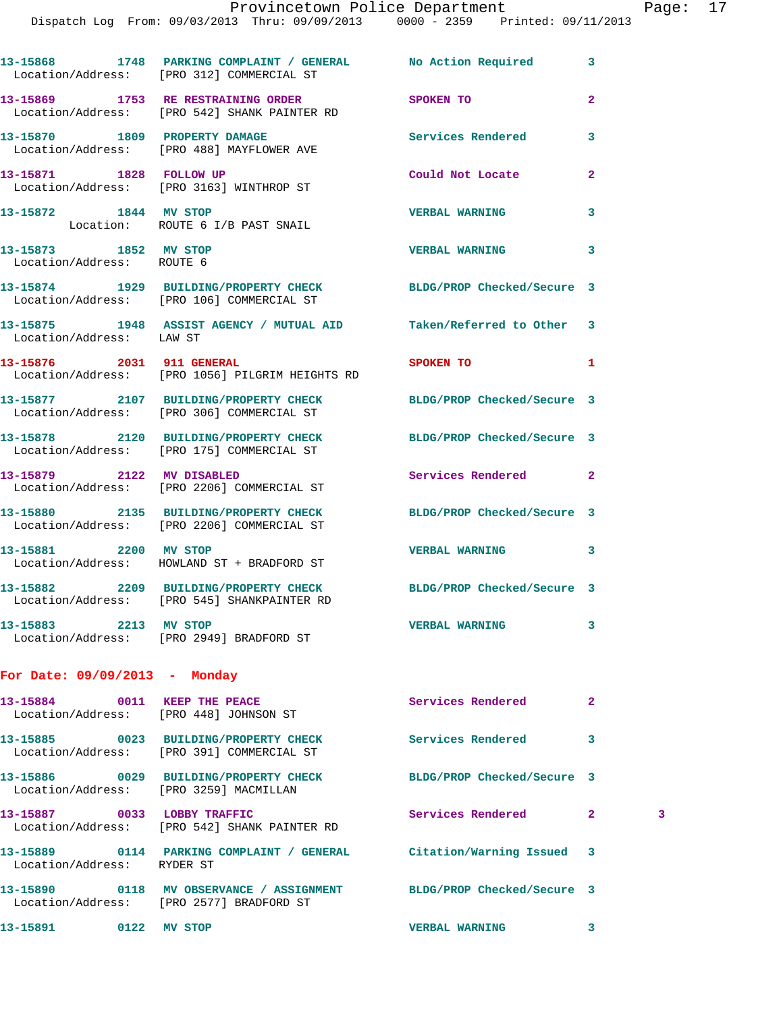|                                                    | 13-15868 1748 PARKING COMPLAINT / GENERAL No Action Required<br>Location/Address: [PRO 312] COMMERCIAL ST       |                            | 3              |   |
|----------------------------------------------------|-----------------------------------------------------------------------------------------------------------------|----------------------------|----------------|---|
|                                                    | 13-15869 1753 RE RESTRAINING ORDER<br>Location/Address: [PRO 542] SHANK PAINTER RD                              | SPOKEN TO                  | $\overline{a}$ |   |
|                                                    | 13-15870 1809 PROPERTY DAMAGE<br>Location/Address: [PRO 488] MAYFLOWER AVE                                      | <b>Services Rendered</b>   | 3              |   |
|                                                    | 13-15871 1828 FOLLOW UP<br>Location/Address: [PRO 3163] WINTHROP ST                                             | Could Not Locate           | $\mathbf{2}$   |   |
| 13-15872 1844 MV STOP                              | Location: ROUTE 6 I/B PAST SNAIL                                                                                | <b>VERBAL WARNING</b>      | 3              |   |
| 13-15873 1852 MV STOP<br>Location/Address: ROUTE 6 |                                                                                                                 | <b>VERBAL WARNING</b>      | 3              |   |
|                                                    | 13-15874 1929 BUILDING/PROPERTY CHECK BLDG/PROP Checked/Secure 3<br>Location/Address: [PRO 106] COMMERCIAL ST   |                            |                |   |
| Location/Address: LAW ST                           | 13-15875 1948 ASSIST AGENCY / MUTUAL AID Taken/Referred to Other 3                                              |                            |                |   |
| 13-15876 2031 911 GENERAL                          | Location/Address: [PRO 1056] PILGRIM HEIGHTS RD                                                                 | <b>SPOKEN TO</b>           | 1              |   |
|                                                    | 13-15877 2107 BUILDING/PROPERTY CHECK BLDG/PROP Checked/Secure 3<br>Location/Address: [PRO 306] COMMERCIAL ST   |                            |                |   |
|                                                    | 13-15878 2120 BUILDING/PROPERTY CHECK BLDG/PROP Checked/Secure 3<br>Location/Address: [PRO 175] COMMERCIAL ST   |                            |                |   |
|                                                    | 13-15879 2122 MV DISABLED<br>Location/Address: [PRO 2206] COMMERCIAL ST                                         | Services Rendered          | $\mathbf{2}$   |   |
|                                                    | 13-15880 2135 BUILDING/PROPERTY CHECK BLDG/PROP Checked/Secure 3<br>Location/Address: [PRO 2206] COMMERCIAL ST  |                            |                |   |
|                                                    | 13-15881 2200 MV STOP<br>Location/Address: HOWLAND ST + BRADFORD ST                                             | <b>VERBAL WARNING</b>      | 3              |   |
|                                                    | 13-15882 2209 BUILDING/PROPERTY CHECK BLDG/PROP Checked/Secure 3<br>Location/Address: [PRO 545] SHANKPAINTER RD |                            |                |   |
|                                                    | 13-15883 2213 MV STOP<br>Location/Address: [PRO 2949] BRADFORD ST                                               | <b>VERBAL WARNING</b>      | 3              |   |
| For Date: 09/09/2013 - Monday                      |                                                                                                                 |                            |                |   |
|                                                    | 13-15884 0011 KEEP THE PEACE<br>Location/Address: [PRO 448] JOHNSON ST                                          | Services Rendered          | $\mathbf{2}$   |   |
|                                                    | 13-15885 0023 BUILDING/PROPERTY CHECK Services Rendered<br>Location/Address: [PRO 391] COMMERCIAL ST            |                            | 3              |   |
| Location/Address: [PRO 3259] MACMILLAN             | 13-15886 0029 BUILDING/PROPERTY CHECK                                                                           | BLDG/PROP Checked/Secure 3 |                |   |
| 13-15887 0033 LOBBY TRAFFIC                        | Location/Address: [PRO 542] SHANK PAINTER RD                                                                    | Services Rendered          | $\mathbf{2}$   | 3 |
| Location/Address: RYDER ST                         | 13-15889 0114 PARKING COMPLAINT / GENERAL Citation/Warning Issued 3                                             |                            |                |   |
|                                                    | 13-15890 0118 MV OBSERVANCE / ASSIGNMENT BLDG/PROP Checked/Secure 3<br>Location/Address: [PRO 2577] BRADFORD ST |                            |                |   |
| 13-15891 0122 MV STOP                              |                                                                                                                 | <b>VERBAL WARNING</b>      | 3              |   |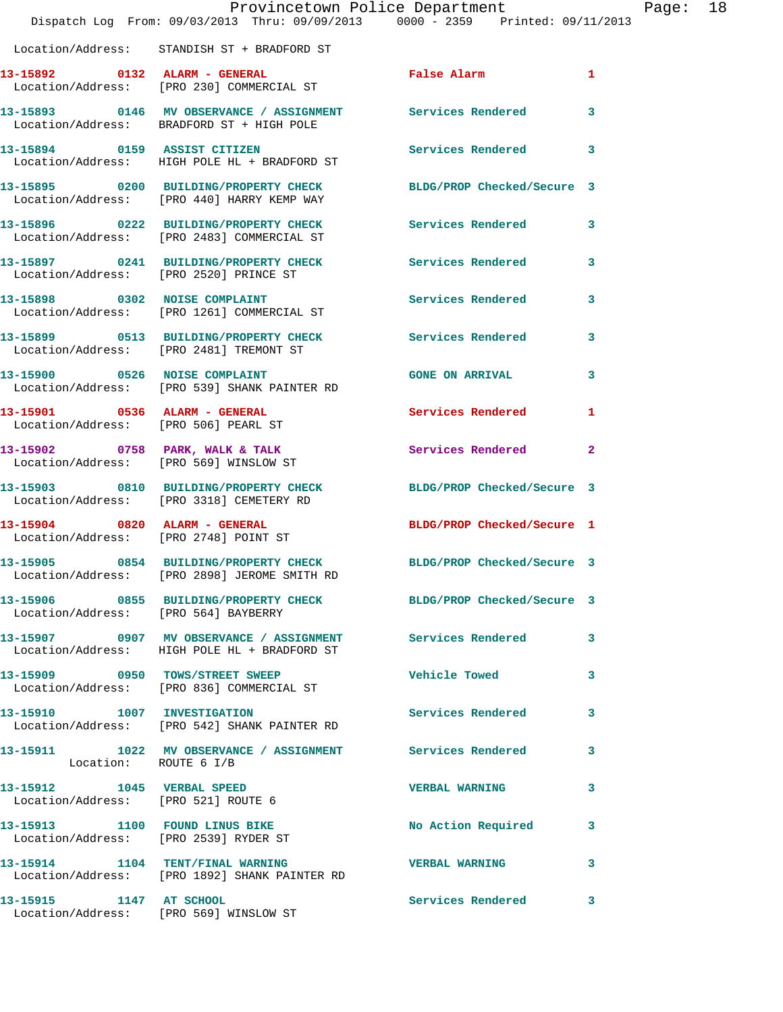|                                                                   | Dispatch Log From: 09/03/2013 Thru: 09/09/2013 0000 - 2359 Printed: 09/11/2013                                   | Provincetown Police Department |              | Page: 18 |  |
|-------------------------------------------------------------------|------------------------------------------------------------------------------------------------------------------|--------------------------------|--------------|----------|--|
|                                                                   | Location/Address: STANDISH ST + BRADFORD ST                                                                      |                                |              |          |  |
|                                                                   | 13-15892 0132 ALARM - GENERAL False Alarm 1<br>Location/Address: [PRO 230] COMMERCIAL ST                         |                                |              |          |  |
|                                                                   | 13-15893 0146 MV OBSERVANCE / ASSIGNMENT Services Rendered 3<br>Location/Address: BRADFORD ST + HIGH POLE        |                                |              |          |  |
|                                                                   | 13-15894 0159 ASSIST CITIZEN<br>Location/Address: HIGH POLE HL + BRADFORD ST                                     | Services Rendered              | 3            |          |  |
|                                                                   | 13-15895 0200 BUILDING/PROPERTY CHECK BLDG/PROP Checked/Secure 3<br>Location/Address: [PRO 440] HARRY KEMP WAY   |                                |              |          |  |
|                                                                   | 13-15896 0222 BUILDING/PROPERTY CHECK Services Rendered 3<br>Location/Address: [PRO 2483] COMMERCIAL ST          |                                |              |          |  |
|                                                                   | 13-15897 0241 BUILDING/PROPERTY CHECK Services Rendered 3<br>Location/Address: [PRO 2520] PRINCE ST              |                                |              |          |  |
|                                                                   | 13-15898 0302 NOISE COMPLAINT<br>Location/Address: [PRO 1261] COMMERCIAL ST                                      | Services Rendered              | 3            |          |  |
|                                                                   | 13-15899 0513 BUILDING/PROPERTY CHECK Services Rendered 3<br>Location/Address: [PRO 2481] TREMONT ST             |                                |              |          |  |
|                                                                   | 13-15900 0526 NOISE COMPLAINT<br>Location/Address: [PRO 539] SHANK PAINTER RD                                    | <b>GONE ON ARRIVAL</b>         | $\mathbf{3}$ |          |  |
| Location/Address: [PRO 506] PEARL ST                              | 13-15901 0536 ALARM - GENERAL                                                                                    | Services Rendered 1            |              |          |  |
|                                                                   | 13-15902 0758 PARK, WALK & TALK<br>Location/Address: [PRO 569] WINSLOW ST                                        | Services Rendered              | $\mathbf{2}$ |          |  |
|                                                                   | 13-15903 0810 BUILDING/PROPERTY CHECK BLDG/PROP Checked/Secure 3<br>Location/Address: [PRO 3318] CEMETERY RD     |                                |              |          |  |
|                                                                   | 13-15904 0820 ALARM - GENERAL<br>Location/Address: [PRO 2748] POINT ST                                           | BLDG/PROP Checked/Secure 1     |              |          |  |
|                                                                   | 13-15905 0854 BUILDING/PROPERTY CHECK BLDG/PROP Checked/Secure 3<br>Location/Address: [PRO 2898] JEROME SMITH RD |                                |              |          |  |
| Location/Address: [PRO 564] BAYBERRY                              | 13-15906 0855 BUILDING/PROPERTY CHECK BLDG/PROP Checked/Secure 3                                                 |                                |              |          |  |
|                                                                   | 13-15907 0907 MV OBSERVANCE / ASSIGNMENT Services Rendered 3<br>Location/Address: HIGH POLE HL + BRADFORD ST     |                                |              |          |  |
|                                                                   | 13-15909 0950 TOWS/STREET SWEEP<br>Location/Address: [PRO 836] COMMERCIAL ST                                     | <b>Vehicle Towed</b>           | 3            |          |  |
|                                                                   | 13-15910 1007 INVESTIGATION<br>Location/Address: [PRO 542] SHANK PAINTER RD                                      | Services Rendered              | 3            |          |  |
| Location: ROUTE 6 I/B                                             | 13-15911 1022 MV OBSERVANCE / ASSIGNMENT Services Rendered                                                       |                                | 3            |          |  |
| 13-15912 1045 VERBAL SPEED<br>Location/Address: [PRO 521] ROUTE 6 |                                                                                                                  | <b>VERBAL WARNING</b>          | 3            |          |  |
|                                                                   | 13-15913 1100 FOUND LINUS BIKE<br>Location/Address: [PRO 2539] RYDER ST                                          | No Action Required             | 3            |          |  |
|                                                                   | 13-15914 1104 TENT/FINAL WARNING<br>Location/Address: [PRO 1892] SHANK PAINTER RD                                | <b>VERBAL WARNING</b>          | 3            |          |  |
| 13-15915 1147 AT SCHOOL                                           |                                                                                                                  | Services Rendered 3            |              |          |  |

Location/Address: [PRO 569] WINSLOW ST